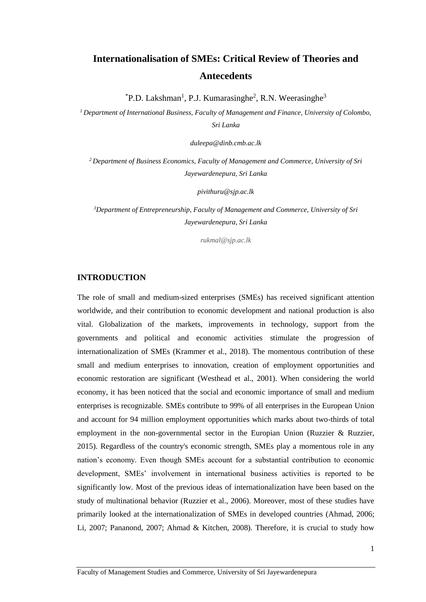# **Internationalisation of SMEs: Critical Review of Theories and Antecedents**

 $P^*P$ .D. Lakshman<sup>1</sup>, P.J. Kumarasinghe<sup>2</sup>, R.N. Weerasinghe<sup>3</sup>

*<sup>1</sup>Department of International Business, Faculty of Management and Finance, University of Colombo, Sri Lanka* 

*duleepa@dinb.cmb.ac.lk*

*<sup>2</sup>Department of Business Economics, Faculty of Management and Commerce, University of Sri Jayewardenepura, Sri Lanka* 

*pivithuru@sjp.ac.lk*

*<sup>3</sup>Department of Entrepreneurship, Faculty of Management and Commerce, University of Sri Jayewardenepura, Sri Lanka* 

*rukmal@sjp.ac.lk* 

# **INTRODUCTION**

The role of small and medium-sized enterprises (SMEs) has received significant attention worldwide, and their contribution to economic development and national production is also vital. Globalization of the markets, improvements in technology, support from the governments and political and economic activities stimulate the progression of internationalization of SMEs (Krammer et al., 2018). The momentous contribution of these small and medium enterprises to innovation, creation of employment opportunities and economic restoration are significant (Westhead et al., 2001). When considering the world economy, it has been noticed that the social and economic importance of small and medium enterprises is recognizable. SMEs contribute to 99% of all enterprises in the European Union and account for 94 million employment opportunities which marks about two-thirds of total employment in the non-governmental sector in the Europian Union (Ruzzier  $\&$  Ruzzier, 2015). Regardless of the country's economic strength, SMEs play a momentous role in any nation's economy. Even though SMEs account for a substantial contribution to economic development, SMEs' involvement in international business activities is reported to be significantly low. Most of the previous ideas of internationalization have been based on the study of multinational behavior (Ruzzier et al., 2006). Moreover, most of these studies have primarily looked at the internationalization of SMEs in developed countries (Ahmad, 2006; Li, 2007; Pananond, 2007; Ahmad & Kitchen, 2008). Therefore, it is crucial to study how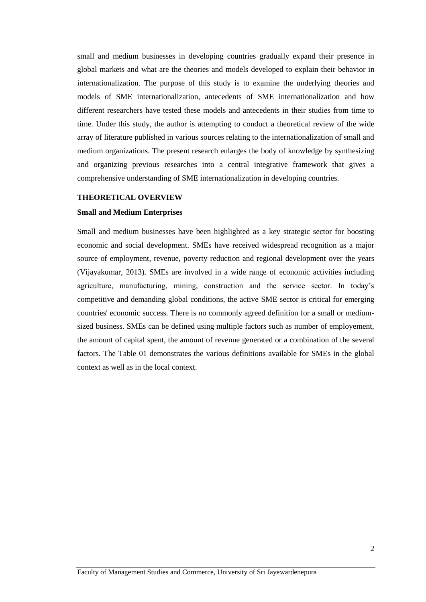small and medium businesses in developing countries gradually expand their presence in global markets and what are the theories and models developed to explain their behavior in internationalization. The purpose of this study is to examine the underlying theories and models of SME internationalization, antecedents of SME internationalization and how different researchers have tested these models and antecedents in their studies from time to time. Under this study, the author is attempting to conduct a theoretical review of the wide array of literature published in various sources relating to the internationalization of small and medium organizations. The present research enlarges the body of knowledge by synthesizing and organizing previous researches into a central integrative framework that gives a comprehensive understanding of SME internationalization in developing countries.

#### **THEORETICAL OVERVIEW**

#### **Small and Medium Enterprises**

Small and medium businesses have been highlighted as a key strategic sector for boosting economic and social development. SMEs have received widespread recognition as a major source of employment, revenue, poverty reduction and regional development over the years (Vijayakumar, 2013). SMEs are involved in a wide range of economic activities including agriculture, manufacturing, mining, construction and the service sector. In today's competitive and demanding global conditions, the active SME sector is critical for emerging countries' economic success. There is no commonly agreed definition for a small or mediumsized business. SMEs can be defined using multiple factors such as number of employement, the amount of capital spent, the amount of revenue generated or a combination of the several factors. The Table 01 demonstrates the various definitions available for SMEs in the global context as well as in the local context.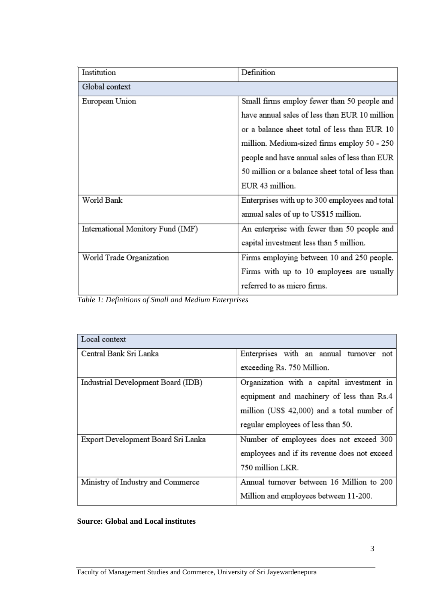| Institution                       | Definition                                       |
|-----------------------------------|--------------------------------------------------|
| Global context                    |                                                  |
| European Union                    | Small firms employ fewer than 50 people and      |
|                                   | have annual sales of less than EUR 10 million    |
|                                   | or a balance sheet total of less than EUR 10     |
|                                   | million. Medium-sized firms employ 50 - 250      |
|                                   | people and have annual sales of less than EUR    |
|                                   | 50 million or a balance sheet total of less than |
|                                   | EUR 43 million.                                  |
| World Bank                        | Enterprises with up to 300 employees and total   |
|                                   | annual sales of up to US\$15 million.            |
| International Monitory Fund (IMF) | An enterprise with fewer than 50 people and      |
|                                   | capital investment less than 5 million.          |
| World Trade Organization          | Firms employing between 10 and 250 people.       |
|                                   | Firms with up to 10 employees are usually        |
|                                   | referred to as micro firms.                      |

*Table 1: Definitions of Small and Medium Enterprises*

| Local context                      |                                              |  |
|------------------------------------|----------------------------------------------|--|
| Central Bank Sri Lanka             | Enterprises with an annual turnover not      |  |
|                                    | exceeding Rs. 750 Million.                   |  |
| Industrial Development Board (IDB) | Organization with a capital investment in    |  |
|                                    | equipment and machinery of less than Rs.4    |  |
|                                    | million (US\$ 42,000) and a total number of  |  |
|                                    | regular employees of less than 50.           |  |
| Export Development Board Sri Lanka | Number of employees does not exceed 300      |  |
|                                    | employees and if its revenue does not exceed |  |
|                                    | 750 million LKR.                             |  |
| Ministry of Industry and Commerce  | Annual turnover between 16 Million to 200    |  |
|                                    | Million and employees between 11-200.        |  |

# **Source: Global and Local institutes**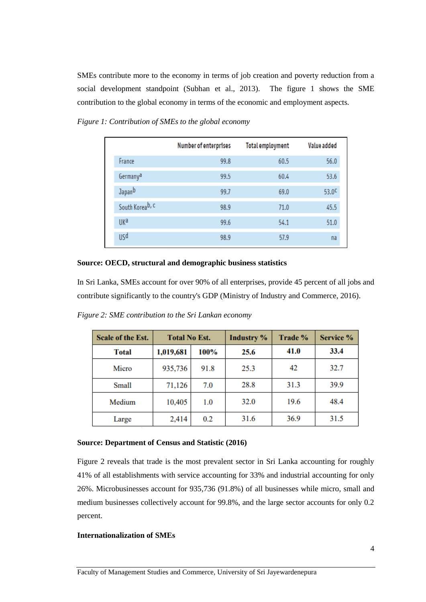SMEs contribute more to the economy in terms of job creation and poverty reduction from a social development standpoint (Subhan et al., 2013). The figure 1 shows the SME contribution to the global economy in terms of the economic and employment aspects.

|                             | Number of enterprises | <b>Total employment</b> | Value added |
|-----------------------------|-----------------------|-------------------------|-------------|
| France                      | 99.8                  | 60.5                    | 56.0        |
| Germanya                    | 99.5                  | 60.4                    | 53.6        |
| Japanb                      | 99.7                  | 69.0                    | 53.0C       |
| South Korea <sup>b, c</sup> | 98.9                  | 71.0                    | 45.5        |
| UKa                         | 99.6                  | 54.1                    | 51.0        |
| USd                         | 98.9                  | 57.9                    | na          |

*Figure 1: Contribution of SMEs to the global economy*

# **Source: OECD, structural and demographic business statistics**

In Sri Lanka, SMEs account for over 90% of all enterprises, provide 45 percent of all jobs and contribute significantly to the country's GDP (Ministry of Industry and Commerce, 2016).

| <b>Scale of the Est.</b> | <b>Total No Est.</b> |      | <b>Industry %</b> | Trade % | Service % |
|--------------------------|----------------------|------|-------------------|---------|-----------|
| <b>Total</b>             | 1,019,681            | 100% | 25.6              | 41.0    | 33.4      |
| Micro                    | 935,736              | 91.8 | 25.3              | 42      | 32.7      |
| Small                    | 71,126               | 7.0  | 28.8              | 31.3    | 39.9      |
| Medium                   | 10,405               | 1.0  | 32.0              | 19.6    | 48.4      |
| Large                    | 2,414                | 0.2  | 31.6              | 36.9    | 31.5      |

*Figure 2: SME contribution to the Sri Lankan economy*

# **Source: Department of Census and Statistic (2016)**

Figure 2 reveals that trade is the most prevalent sector in Sri Lanka accounting for roughly 41% of all establishments with service accounting for 33% and industrial accounting for only 26%. Microbusinesses account for 935,736 (91.8%) of all businesses while micro, small and medium businesses collectively account for 99.8%, and the large sector accounts for only 0.2 percent.

# **Internationalization of SMEs**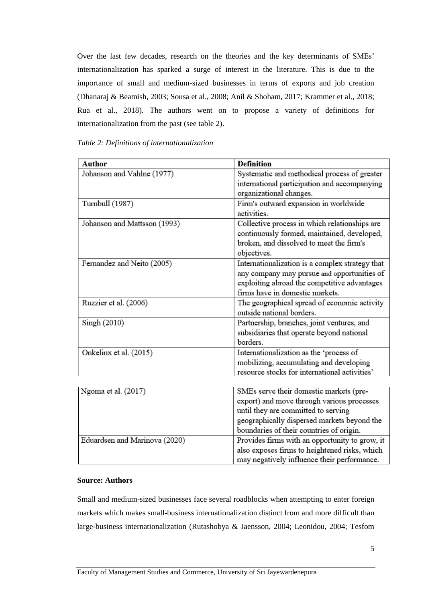Over the last few decades, research on the theories and the key determinants of SMEs' internationalization has sparked a surge of interest in the literature. This is due to the importance of small and medium-sized businesses in terms of exports and job creation (Dhanaraj & Beamish, 2003; Sousa et al., 2008; Anil & Shoham, 2017; Krammer et al., 2018; Rua et al., 2018). The authors went on to propose a variety of definitions for internationalization from the past (see table 2).

| Table 2: Definitions of internationalization |  |
|----------------------------------------------|--|
|----------------------------------------------|--|

| <b>Author</b>                 | <b>Definition</b>                                                                            |
|-------------------------------|----------------------------------------------------------------------------------------------|
| Johanson and Vahlne (1977)    | Systematic and methodical process of greater<br>international participation and accompanying |
|                               | organizational changes.                                                                      |
| Turnbull (1987)               | Firm's outward expansion in worldwide<br>activities.                                         |
| Johanson and Mattsson (1993)  | Collective process in which relationships are                                                |
|                               | continuously formed, maintained, developed,                                                  |
|                               | broken, and dissolved to meet the firm's                                                     |
|                               | objectives.                                                                                  |
| Fernandez and Neito (2005)    | Internationalization is a complex strategy that                                              |
|                               | any company may pursue and opportunities of                                                  |
|                               | exploiting abroad the competitive advantages                                                 |
|                               | firms have in domestic markets.                                                              |
| Ruzzier et al. (2006)         | The geographical spread of economic activity                                                 |
|                               | outside national borders.                                                                    |
| Singh (2010)                  | Partnership, branches, joint ventures, and                                                   |
|                               | subsidiaries that operate beyond national                                                    |
|                               | borders.                                                                                     |
| Onkelinx et al. (2015)        | Internationalization as the 'process of                                                      |
|                               | mobilizing, accumulating and developing                                                      |
|                               | resource stocks for international activities'                                                |
| Ngoma et al. (2017)           | SMEs serve their domestic markets (pre-                                                      |
|                               | export) and move through various processes                                                   |
|                               | until they are committed to serving                                                          |
|                               | geographically dispersed markets beyond the                                                  |
|                               | boundaries of their countries of origin.                                                     |
| Eduardsen and Marinova (2020) | Provides firms with an opportunity to grow, it                                               |
|                               | also exposes firms to heightened risks, which                                                |
|                               | may negatively influence their performance.                                                  |

# **Source: Authors**

Small and medium-sized businesses face several roadblocks when attempting to enter foreign markets which makes small-business internationalization distinct from and more difficult than large-business internationalization (Rutashobya & Jaensson, 2004; Leonidou, 2004; Tesfom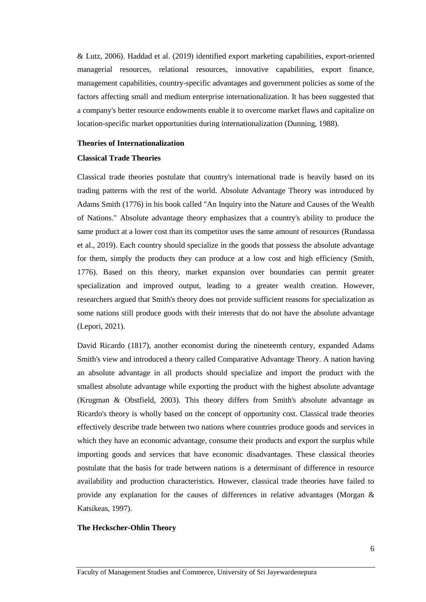& Lutz, 2006). Haddad et al. (2019) identified export marketing capabilities, export-oriented managerial resources, relational resources, innovative capabilities, export finance, management capabilities, country-specific advantages and government policies as some of the factors affecting small and medium enterprise internationalization. It has been suggested that a company's better resource endowments enable it to overcome market flaws and capitalize on location-specific market opportunities during internationalization (Dunning, 1988).

#### **Theories of Internationalization**

#### **Classical Trade Theories**

Classical trade theories postulate that country's international trade is heavily based on its trading patterns with the rest of the world. Absolute Advantage Theory was introduced by Adams Smith (1776) in his book called "An Inquiry into the Nature and Causes of the Wealth of Nations." Absolute advantage theory emphasizes that a country's ability to produce the same product at a lower cost than its competitor uses the same amount of resources (Rundassa et al., 2019). Each country should specialize in the goods that possess the absolute advantage for them, simply the products they can produce at a low cost and high efficiency (Smith, 1776). Based on this theory, market expansion over boundaries can permit greater specialization and improved output, leading to a greater wealth creation. However, researchers argued that Smith's theory does not provide sufficient reasons for specialization as some nations still produce goods with their interests that do not have the absolute advantage (Lepori, 2021).

David Ricardo (1817), another economist during the nineteenth century, expanded Adams Smith's view and introduced a theory called Comparative Advantage Theory. A nation having an absolute advantage in all products should specialize and import the product with the smallest absolute advantage while exporting the product with the highest absolute advantage (Krugman & Obstfield, 2003). This theory differs from Smith's absolute advantage as Ricardo's theory is wholly based on the concept of opportunity cost. Classical trade theories effectively describe trade between two nations where countries produce goods and services in which they have an economic advantage, consume their products and export the surplus while importing goods and services that have economic disadvantages. These classical theories postulate that the basis for trade between nations is a determinant of difference in resource availability and production characteristics. However, classical trade theories have failed to provide any explanation for the causes of differences in relative advantages (Morgan & Katsikeas, 1997).

#### **The Heckscher-Ohlin Theory**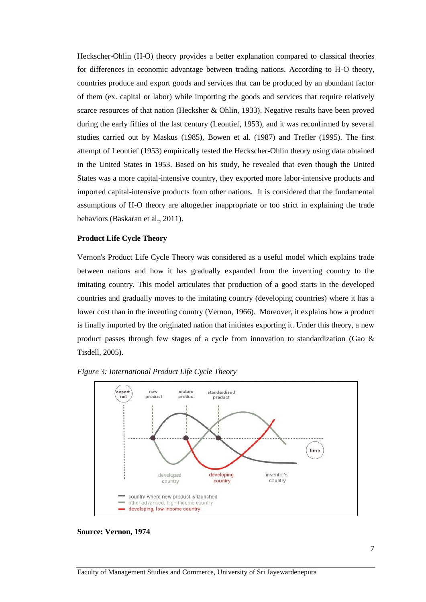Heckscher-Ohlin (H-O) theory provides a better explanation compared to classical theories for differences in economic advantage between trading nations. According to H-O theory, countries produce and export goods and services that can be produced by an abundant factor of them (ex. capital or labor) while importing the goods and services that require relatively scarce resources of that nation (Hecksher & Ohlin, 1933). Negative results have been proved during the early fifties of the last century (Leontief, 1953), and it was reconfirmed by several studies carried out by Maskus (1985), Bowen et al. (1987) and Trefler (1995). The first attempt of Leontief (1953) empirically tested the Heckscher-Ohlin theory using data obtained in the United States in 1953. Based on his study, he revealed that even though the United States was a more capital-intensive country, they exported more labor-intensive products and imported capital-intensive products from other nations. It is considered that the fundamental assumptions of H-O theory are altogether inappropriate or too strict in explaining the trade behaviors (Baskaran et al., 2011).

# **Product Life Cycle Theory**

Vernon's Product Life Cycle Theory was considered as a useful model which explains trade between nations and how it has gradually expanded from the inventing country to the imitating country. This model articulates that production of a good starts in the developed countries and gradually moves to the imitating country (developing countries) where it has a lower cost than in the inventing country (Vernon, 1966). Moreover, it explains how a product is finally imported by the originated nation that initiates exporting it. Under this theory, a new product passes through few stages of a cycle from innovation to standardization (Gao & Tisdell, 2005).





**Source: Vernon, 1974**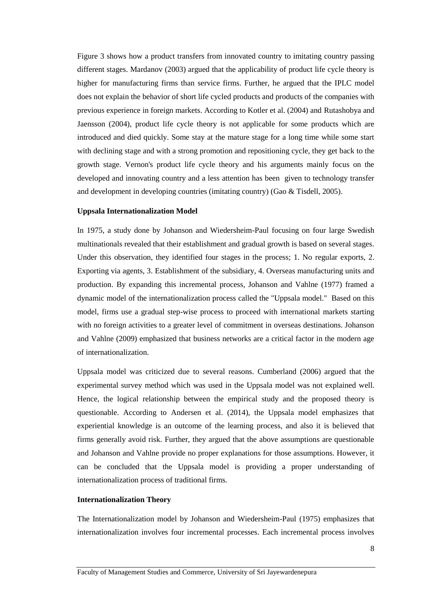Figure 3 shows how a product transfers from innovated country to imitating country passing different stages. Mardanov (2003) argued that the applicability of product life cycle theory is higher for manufacturing firms than service firms. Further, he argued that the IPLC model does not explain the behavior of short life cycled products and products of the companies with previous experience in foreign markets. According to Kotler et al. (2004) and Rutashobya and Jaensson (2004), product life cycle theory is not applicable for some products which are introduced and died quickly. Some stay at the mature stage for a long time while some start with declining stage and with a strong promotion and repositioning cycle, they get back to the growth stage. Vernon's product life cycle theory and his arguments mainly focus on the developed and innovating country and a less attention has been given to technology transfer and development in developing countries (imitating country) (Gao & Tisdell, 2005).

# **Uppsala Internationalization Model**

In 1975, a study done by Johanson and Wiedersheim-Paul focusing on four large Swedish multinationals revealed that their establishment and gradual growth is based on several stages. Under this observation, they identified four stages in the process; 1. No regular exports, 2. Exporting via agents, 3. Establishment of the subsidiary, 4. Overseas manufacturing units and production. By expanding this incremental process, Johanson and Vahlne (1977) framed a dynamic model of the internationalization process called the "Uppsala model." Based on this model, firms use a gradual step-wise process to proceed with international markets starting with no foreign activities to a greater level of commitment in overseas destinations. Johanson and Vahlne (2009) emphasized that business networks are a critical factor in the modern age of internationalization.

Uppsala model was criticized due to several reasons. Cumberland (2006) argued that the experimental survey method which was used in the Uppsala model was not explained well. Hence, the logical relationship between the empirical study and the proposed theory is questionable. According to Andersen et al. (2014), the Uppsala model emphasizes that experiential knowledge is an outcome of the learning process, and also it is believed that firms generally avoid risk. Further, they argued that the above assumptions are questionable and Johanson and Vahlne provide no proper explanations for those assumptions. However, it can be concluded that the Uppsala model is providing a proper understanding of internationalization process of traditional firms.

# **Internationalization Theory**

The Internationalization model by Johanson and Wiedersheim-Paul (1975) emphasizes that internationalization involves four incremental processes. Each incremental process involves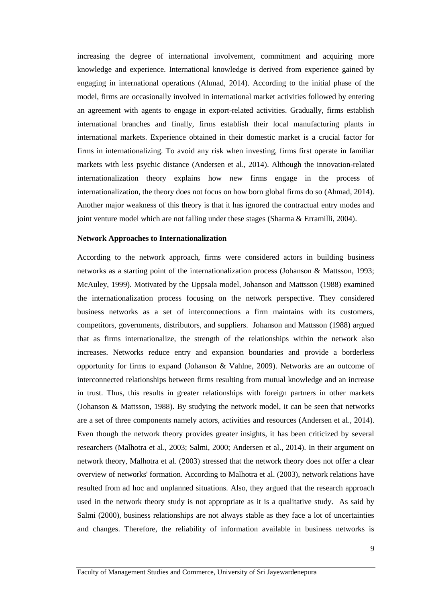increasing the degree of international involvement, commitment and acquiring more knowledge and experience. International knowledge is derived from experience gained by engaging in international operations (Ahmad, 2014). According to the initial phase of the model, firms are occasionally involved in international market activities followed by entering an agreement with agents to engage in export-related activities. Gradually, firms establish international branches and finally, firms establish their local manufacturing plants in international markets. Experience obtained in their domestic market is a crucial factor for firms in internationalizing. To avoid any risk when investing, firms first operate in familiar markets with less psychic distance (Andersen et al., 2014). Although the innovation-related internationalization theory explains how new firms engage in the process of internationalization, the theory does not focus on how born global firms do so (Ahmad, 2014). Another major weakness of this theory is that it has ignored the contractual entry modes and joint venture model which are not falling under these stages (Sharma & Erramilli, 2004).

#### **Network Approaches to Internationalization**

According to the network approach, firms were considered actors in building business networks as a starting point of the internationalization process (Johanson & Mattsson, 1993; McAuley, 1999). Motivated by the Uppsala model, Johanson and Mattsson (1988) examined the internationalization process focusing on the network perspective. They considered business networks as a set of interconnections a firm maintains with its customers, competitors, governments, distributors, and suppliers. Johanson and Mattsson (1988) argued that as firms internationalize, the strength of the relationships within the network also increases. Networks reduce entry and expansion boundaries and provide a borderless opportunity for firms to expand (Johanson & Vahlne, 2009). Networks are an outcome of interconnected relationships between firms resulting from mutual knowledge and an increase in trust. Thus, this results in greater relationships with foreign partners in other markets (Johanson & Mattsson, 1988). By studying the network model, it can be seen that networks are a set of three components namely actors, activities and resources (Andersen et al., 2014). Even though the network theory provides greater insights, it has been criticized by several researchers (Malhotra et al., 2003; Salmi, 2000; Andersen et al., 2014). In their argument on network theory, Malhotra et al. (2003) stressed that the network theory does not offer a clear overview of networks' formation. According to Malhotra et al. (2003), network relations have resulted from ad hoc and unplanned situations. Also, they argued that the research approach used in the network theory study is not appropriate as it is a qualitative study. As said by Salmi (2000), business relationships are not always stable as they face a lot of uncertainties and changes. Therefore, the reliability of information available in business networks is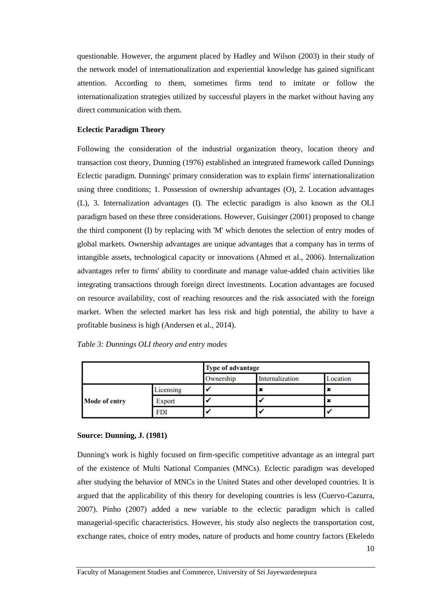questionable. However, the argument placed by Hadley and Wilson (2003) in their study of the network model of internationalization and experiential knowledge has gained significant attention. According to them, sometimes firms tend to imitate or follow the internationalization strategies utilized by successful players in the market without having any direct communication with them.

# **Eclectic Paradigm Theory**

Following the consideration of the industrial organization theory, location theory and transaction cost theory, Dunning (1976) established an integrated framework called Dunnings Eclectic paradigm. Dunnings' primary consideration was to explain firms' internationalization using three conditions; 1. Possession of ownership advantages (O), 2. Location advantages (L), 3. Internalization advantages (I). The eclectic paradigm is also known as the OLI paradigm based on these three considerations. However, Guisinger (2001) proposed to change the third component (I) by replacing with 'M' which denotes the selection of entry modes of global markets. Ownership advantages are unique advantages that a company has in terms of intangible assets, technological capacity or innovations (Ahmed et al., 2006). Internalization advantages refer to firms' ability to coordinate and manage value-added chain activities like integrating transactions through foreign direct investments. Location advantages are focused on resource availability, cost of reaching resources and the risk associated with the foreign market. When the selected market has less risk and high potential, the ability to have a profitable business is high (Andersen et al., 2014).

|                      |            | <b>Type of advantage</b> |                 |          |
|----------------------|------------|--------------------------|-----------------|----------|
|                      |            | Ownership                | Internalization | Location |
|                      | Licensing  |                          |                 |          |
| <b>Mode of entry</b> | Export     |                          |                 |          |
|                      | <b>FDI</b> |                          |                 |          |

*Table 3: Dunnings OLI theory and entry modes*

#### **Source: Dunning, J. (1981)**

Dunning's work is highly focused on firm-specific competitive advantage as an integral part of the existence of Multi National Companies (MNCs). Eclectic paradigm was developed after studying the behavior of MNCs in the United States and other developed countries. It is argued that the applicability of this theory for developing countries is less (Cuervo-Cazurra, 2007). Pinho (2007) added a new variable to the eclectic paradigm which is called managerial-specific characteristics. However, his study also neglects the transportation cost, exchange rates, choice of entry modes, nature of products and home country factors (Ekeledo

10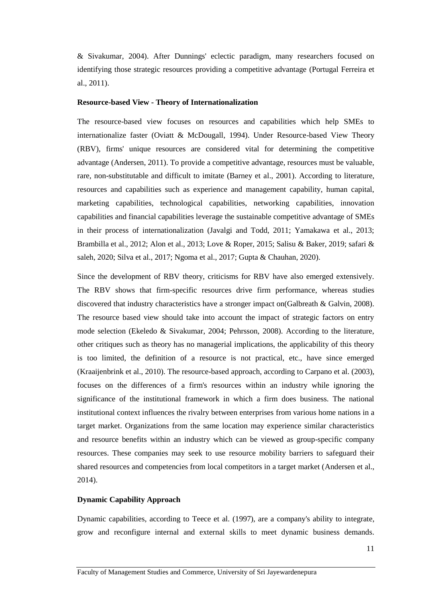& Sivakumar, 2004). After Dunnings' eclectic paradigm, many researchers focused on identifying those strategic resources providing a competitive advantage (Portugal Ferreira et al., 2011).

### **Resource-based View - Theory of Internationalization**

The resource-based view focuses on resources and capabilities which help SMEs to internationalize faster (Oviatt & McDougall, 1994). Under Resource-based View Theory (RBV), firms' unique resources are considered vital for determining the competitive advantage (Andersen, 2011). To provide a competitive advantage, resources must be valuable, rare, non-substitutable and difficult to imitate (Barney et al., 2001). According to literature, resources and capabilities such as experience and management capability, human capital, marketing capabilities, technological capabilities, networking capabilities, innovation capabilities and financial capabilities leverage the sustainable competitive advantage of SMEs in their process of internationalization (Javalgi and Todd, 2011; Yamakawa et al., 2013; Brambilla et al., 2012; Alon et al., 2013; Love & Roper, 2015; Salisu & Baker, 2019; safari & saleh, 2020; Silva et al., 2017; Ngoma et al., 2017; Gupta & Chauhan, 2020).

Since the development of RBV theory, criticisms for RBV have also emerged extensively. The RBV shows that firm-specific resources drive firm performance, whereas studies discovered that industry characteristics have a stronger impact on(Galbreath & Galvin, 2008). The resource based view should take into account the impact of strategic factors on entry mode selection (Ekeledo & Sivakumar, 2004; Pehrsson, 2008). According to the literature, other critiques such as theory has no managerial implications, the applicability of this theory is too limited, the definition of a resource is not practical, etc., have since emerged (Kraaijenbrink et al., 2010). The resource-based approach, according to Carpano et al. (2003), focuses on the differences of a firm's resources within an industry while ignoring the significance of the institutional framework in which a firm does business. The national institutional context influences the rivalry between enterprises from various home nations in a target market. Organizations from the same location may experience similar characteristics and resource benefits within an industry which can be viewed as group-specific company resources. These companies may seek to use resource mobility barriers to safeguard their shared resources and competencies from local competitors in a target market (Andersen et al., 2014).

# **Dynamic Capability Approach**

Dynamic capabilities, according to Teece et al. (1997), are a company's ability to integrate, grow and reconfigure internal and external skills to meet dynamic business demands.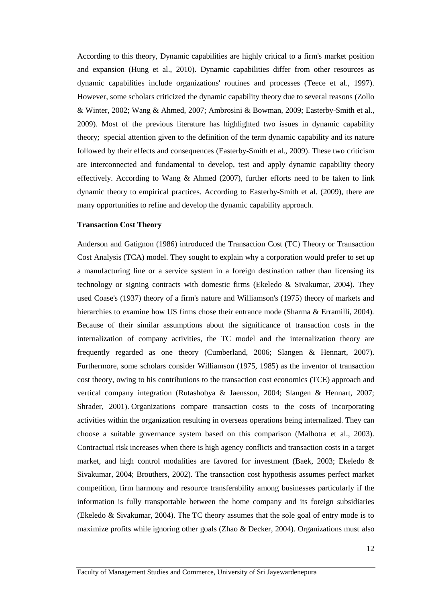According to this theory, Dynamic capabilities are highly critical to a firm's market position and expansion (Hung et al., 2010). Dynamic capabilities differ from other resources as dynamic capabilities include organizations' routines and processes (Teece et al., 1997). However, some scholars criticized the dynamic capability theory due to several reasons (Zollo & Winter, 2002; Wang & Ahmed, 2007; Ambrosini & Bowman, 2009; Easterby-Smith et al., 2009). Most of the previous literature has highlighted two issues in dynamic capability theory; special attention given to the definition of the term dynamic capability and its nature followed by their effects and consequences (Easterby-Smith et al., 2009). These two criticism are interconnected and fundamental to develop, test and apply dynamic capability theory effectively. According to Wang & Ahmed (2007), further efforts need to be taken to link dynamic theory to empirical practices. According to Easterby-Smith et al. (2009), there are many opportunities to refine and develop the dynamic capability approach.

#### **Transaction Cost Theory**

Anderson and Gatignon (1986) introduced the Transaction Cost (TC) Theory or Transaction Cost Analysis (TCA) model. They sought to explain why a corporation would prefer to set up a manufacturing line or a service system in a foreign destination rather than licensing its technology or signing contracts with domestic firms (Ekeledo & Sivakumar, 2004). They used Coase's (1937) theory of a firm's nature and Williamson's (1975) theory of markets and hierarchies to examine how US firms chose their entrance mode (Sharma & Erramilli, 2004). Because of their similar assumptions about the significance of transaction costs in the internalization of company activities, the TC model and the internalization theory are frequently regarded as one theory (Cumberland, 2006; Slangen & Hennart, 2007). Furthermore, some scholars consider Williamson (1975, 1985) as the inventor of transaction cost theory, owing to his contributions to the transaction cost economics (TCE) approach and vertical company integration (Rutashobya & Jaensson, 2004; Slangen & Hennart, 2007; Shrader, 2001). Organizations compare transaction costs to the costs of incorporating activities within the organization resulting in overseas operations being internalized. They can choose a suitable governance system based on this comparison (Malhotra et al., 2003). Contractual risk increases when there is high agency conflicts and transaction costs in a target market, and high control modalities are favored for investment (Baek, 2003; Ekeledo & Sivakumar, 2004; Brouthers, 2002). The transaction cost hypothesis assumes perfect market competition, firm harmony and resource transferability among businesses particularly if the information is fully transportable between the home company and its foreign subsidiaries (Ekeledo & Sivakumar, 2004). The TC theory assumes that the sole goal of entry mode is to maximize profits while ignoring other goals (Zhao & Decker, 2004). Organizations must also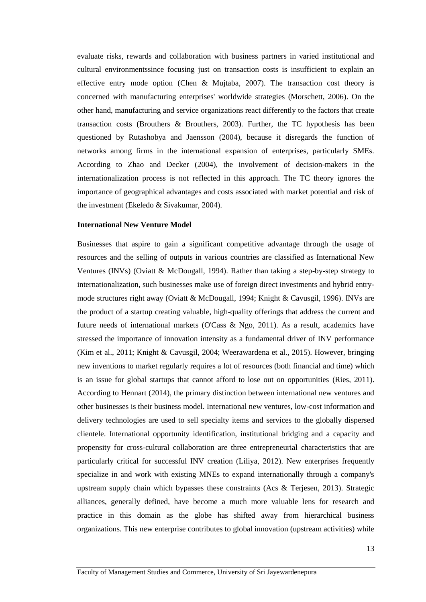evaluate risks, rewards and collaboration with business partners in varied institutional and cultural environmentssince focusing just on transaction costs is insufficient to explain an effective entry mode option (Chen & Mujtaba, 2007). The transaction cost theory is concerned with manufacturing enterprises' worldwide strategies (Morschett, 2006). On the other hand, manufacturing and service organizations react differently to the factors that create transaction costs (Brouthers & Brouthers, 2003). Further, the TC hypothesis has been questioned by Rutashobya and Jaensson (2004), because it disregards the function of networks among firms in the international expansion of enterprises, particularly SMEs. According to Zhao and Decker (2004), the involvement of decision-makers in the internationalization process is not reflected in this approach. The TC theory ignores the importance of geographical advantages and costs associated with market potential and risk of the investment (Ekeledo & Sivakumar, 2004).

#### **International New Venture Model**

Businesses that aspire to gain a significant competitive advantage through the usage of resources and the selling of outputs in various countries are classified as International New Ventures (INVs) (Oviatt & McDougall, 1994). Rather than taking a step-by-step strategy to internationalization, such businesses make use of foreign direct investments and hybrid entrymode structures right away (Oviatt & McDougall, 1994; Knight & Cavusgil, 1996). INVs are the product of a startup creating valuable, high-quality offerings that address the current and future needs of international markets (O'Cass & Ngo, 2011). As a result, academics have stressed the importance of innovation intensity as a fundamental driver of INV performance (Kim et al., 2011; Knight & Cavusgil, 2004; Weerawardena et al., 2015). However, bringing new inventions to market regularly requires a lot of resources (both financial and time) which is an issue for global startups that cannot afford to lose out on opportunities (Ries, 2011). According to Hennart (2014), the primary distinction between international new ventures and other businesses is their business model. International new ventures, low-cost information and delivery technologies are used to sell specialty items and services to the globally dispersed clientele. International opportunity identification, institutional bridging and a capacity and propensity for cross-cultural collaboration are three entrepreneurial characteristics that are particularly critical for successful INV creation (Liliya, 2012). New enterprises frequently specialize in and work with existing MNEs to expand internationally through a company's upstream supply chain which bypasses these constraints (Acs & Terjesen, 2013). Strategic alliances, generally defined, have become a much more valuable lens for research and practice in this domain as the globe has shifted away from hierarchical business organizations. This new enterprise contributes to global innovation (upstream activities) while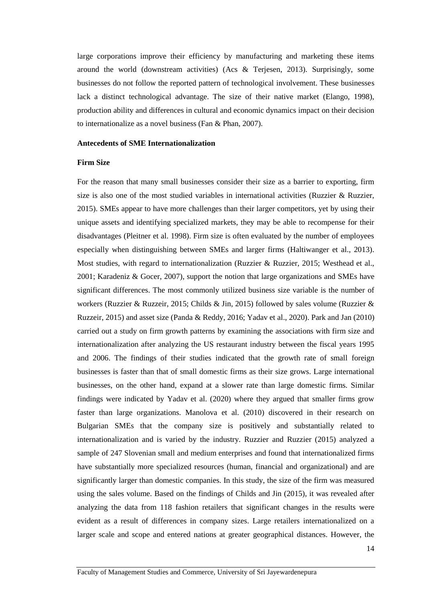large corporations improve their efficiency by manufacturing and marketing these items around the world (downstream activities) (Acs & Terjesen, 2013). Surprisingly, some businesses do not follow the reported pattern of technological involvement. These businesses lack a distinct technological advantage. The size of their native market (Elango, 1998), production ability and differences in cultural and economic dynamics impact on their decision to internationalize as a novel business (Fan & Phan, 2007).

#### **Antecedents of SME Internationalization**

#### **Firm Size**

For the reason that many small businesses consider their size as a barrier to exporting, firm size is also one of the most studied variables in international activities (Ruzzier  $\&$  Ruzzier, 2015). SMEs appear to have more challenges than their larger competitors, yet by using their unique assets and identifying specialized markets, they may be able to recompense for their disadvantages (Pleitner et al. 1998). Firm size is often evaluated by the number of employees especially when distinguishing between SMEs and larger firms (Haltiwanger et al., 2013). Most studies, with regard to internationalization (Ruzzier & Ruzzier, 2015; Westhead et al., 2001; Karadeniz & Gocer, 2007), support the notion that large organizations and SMEs have significant differences. The most commonly utilized business size variable is the number of workers (Ruzzier & Ruzzeir, 2015; Childs & Jin, 2015) followed by sales volume (Ruzzier & Ruzzeir, 2015) and asset size (Panda & Reddy, 2016; Yadav et al., 2020). Park and Jan (2010) carried out a study on firm growth patterns by examining the associations with firm size and internationalization after analyzing the US restaurant industry between the fiscal years 1995 and 2006. The findings of their studies indicated that the growth rate of small foreign businesses is faster than that of small domestic firms as their size grows. Large international businesses, on the other hand, expand at a slower rate than large domestic firms. Similar findings were indicated by Yadav et al. (2020) where they argued that smaller firms grow faster than large organizations. Manolova et al. (2010) discovered in their research on Bulgarian SMEs that the company size is positively and substantially related to internationalization and is varied by the industry. Ruzzier and Ruzzier (2015) analyzed a sample of 247 Slovenian small and medium enterprises and found that internationalized firms have substantially more specialized resources (human, financial and organizational) and are significantly larger than domestic companies. In this study, the size of the firm was measured using the sales volume. Based on the findings of Childs and Jin (2015), it was revealed after analyzing the data from 118 fashion retailers that significant changes in the results were evident as a result of differences in company sizes. Large retailers internationalized on a larger scale and scope and entered nations at greater geographical distances. However, the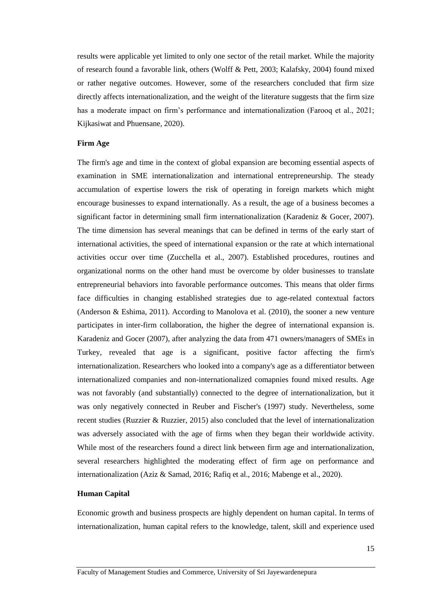results were applicable yet limited to only one sector of the retail market. While the majority of research found a favorable link, others (Wolff & Pett, 2003; Kalafsky, 2004) found mixed or rather negative outcomes. However, some of the researchers concluded that firm size directly affects internationalization, and the weight of the literature suggests that the firm size has a moderate impact on firm's performance and internationalization (Farooq et al., 2021; Kijkasiwat and Phuensane, 2020).

#### **Firm Age**

The firm's age and time in the context of global expansion are becoming essential aspects of examination in SME internationalization and international entrepreneurship. The steady accumulation of expertise lowers the risk of operating in foreign markets which might encourage businesses to expand internationally. As a result, the age of a business becomes a significant factor in determining small firm internationalization (Karadeniz & Gocer, 2007). The time dimension has several meanings that can be defined in terms of the early start of international activities, the speed of international expansion or the rate at which international activities occur over time (Zucchella et al., 2007). Established procedures, routines and organizational norms on the other hand must be overcome by older businesses to translate entrepreneurial behaviors into favorable performance outcomes. This means that older firms face difficulties in changing established strategies due to age-related contextual factors (Anderson & Eshima, 2011). According to Manolova et al. (2010), the sooner a new venture participates in inter-firm collaboration, the higher the degree of international expansion is. Karadeniz and Gocer (2007), after analyzing the data from 471 owners/managers of SMEs in Turkey, revealed that age is a significant, positive factor affecting the firm's internationalization. Researchers who looked into a company's age as a differentiator between internationalized companies and non-internationalized comapnies found mixed results. Age was not favorably (and substantially) connected to the degree of internationalization, but it was only negatively connected in Reuber and Fischer's (1997) study. Nevertheless, some recent studies (Ruzzier & Ruzzier, 2015) also concluded that the level of internationalization was adversely associated with the age of firms when they began their worldwide activity. While most of the researchers found a direct link between firm age and internationalization, several researchers highlighted the moderating effect of firm age on performance and internationalization (Aziz & Samad, 2016; Rafiq et al., 2016; Mabenge et al., 2020).

#### **Human Capital**

Economic growth and business prospects are highly dependent on human capital. In terms of internationalization, human capital refers to the knowledge, talent, skill and experience used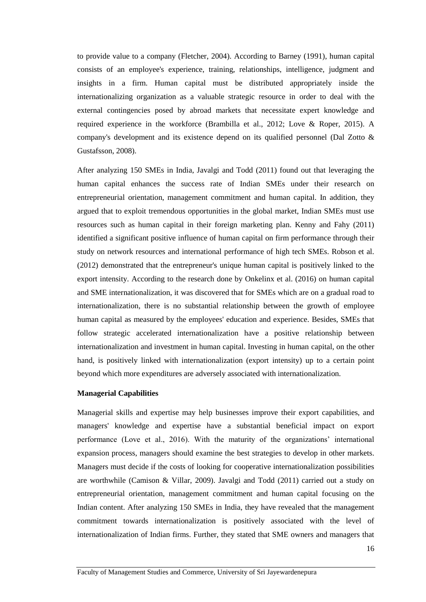to provide value to a company (Fletcher, 2004). According to Barney (1991), human capital consists of an employee's experience, training, relationships, intelligence, judgment and insights in a firm. Human capital must be distributed appropriately inside the internationalizing organization as a valuable strategic resource in order to deal with the external contingencies posed by abroad markets that necessitate expert knowledge and required experience in the workforce (Brambilla et al., 2012; Love & Roper, 2015). A company's development and its existence depend on its qualified personnel (Dal Zotto & Gustafsson, 2008).

After analyzing 150 SMEs in India, Javalgi and Todd (2011) found out that leveraging the human capital enhances the success rate of Indian SMEs under their research on entrepreneurial orientation, management commitment and human capital. In addition, they argued that to exploit tremendous opportunities in the global market, Indian SMEs must use resources such as human capital in their foreign marketing plan. Kenny and Fahy (2011) identified a significant positive influence of human capital on firm performance through their study on network resources and international performance of high tech SMEs. Robson et al. (2012) demonstrated that the entrepreneur's unique human capital is positively linked to the export intensity. According to the research done by Onkelinx et al. (2016) on human capital and SME internationalization, it was discovered that for SMEs which are on a gradual road to internationalization, there is no substantial relationship between the growth of employee human capital as measured by the employees' education and experience. Besides, SMEs that follow strategic accelerated internationalization have a positive relationship between internationalization and investment in human capital. Investing in human capital, on the other hand, is positively linked with internationalization (export intensity) up to a certain point beyond which more expenditures are adversely associated with internationalization.

#### **Managerial Capabilities**

Managerial skills and expertise may help businesses improve their export capabilities, and managers' knowledge and expertise have a substantial beneficial impact on export performance (Love et al., 2016). With the maturity of the organizations' international expansion process, managers should examine the best strategies to develop in other markets. Managers must decide if the costs of looking for cooperative internationalization possibilities are worthwhile (Camison & Villar, 2009). Javalgi and Todd (2011) carried out a study on entrepreneurial orientation, management commitment and human capital focusing on the Indian content. After analyzing 150 SMEs in India, they have revealed that the management commitment towards internationalization is positively associated with the level of internationalization of Indian firms. Further, they stated that SME owners and managers that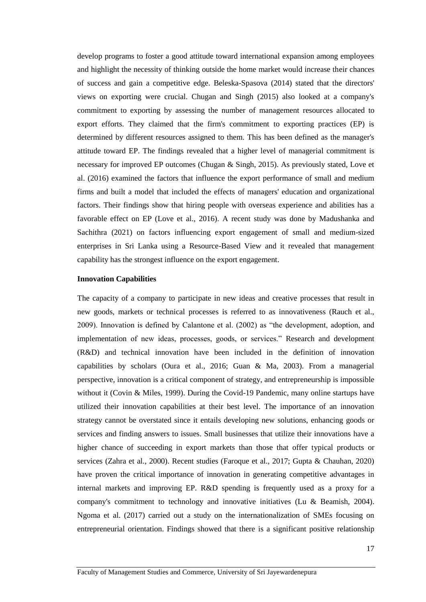develop programs to foster a good attitude toward international expansion among employees and highlight the necessity of thinking outside the home market would increase their chances of success and gain a competitive edge. Beleska-Spasova (2014) stated that the directors' views on exporting were crucial. Chugan and Singh (2015) also looked at a company's commitment to exporting by assessing the number of management resources allocated to export efforts. They claimed that the firm's commitment to exporting practices (EP) is determined by different resources assigned to them. This has been defined as the manager's attitude toward EP. The findings revealed that a higher level of managerial commitment is necessary for improved EP outcomes (Chugan & Singh, 2015). As previously stated, Love et al. (2016) examined the factors that influence the export performance of small and medium firms and built a model that included the effects of managers' education and organizational factors. Their findings show that hiring people with overseas experience and abilities has a favorable effect on EP (Love et al., 2016). A recent study was done by Madushanka and Sachithra (2021) on factors influencing export engagement of small and medium-sized enterprises in Sri Lanka using a Resource-Based View and it revealed that management capability has the strongest influence on the export engagement.

#### **Innovation Capabilities**

The capacity of a company to participate in new ideas and creative processes that result in new goods, markets or technical processes is referred to as innovativeness (Rauch et al., 2009). Innovation is defined by Calantone et al. (2002) as "the development, adoption, and implementation of new ideas, processes, goods, or services." Research and development (R&D) and technical innovation have been included in the definition of innovation capabilities by scholars (Oura et al., 2016; Guan & Ma, 2003). From a managerial perspective, innovation is a critical component of strategy, and entrepreneurship is impossible without it (Covin & Miles, 1999). During the Covid-19 Pandemic, many online startups have utilized their innovation capabilities at their best level. The importance of an innovation strategy cannot be overstated since it entails developing new solutions, enhancing goods or services and finding answers to issues. Small businesses that utilize their innovations have a higher chance of succeeding in export markets than those that offer typical products or services (Zahra et al., 2000). Recent studies (Faroque et al., 2017; Gupta & Chauhan, 2020) have proven the critical importance of innovation in generating competitive advantages in internal markets and improving EP. R&D spending is frequently used as a proxy for a company's commitment to technology and innovative initiatives (Lu & Beamish, 2004). Ngoma et al. (2017) carried out a study on the internationalization of SMEs focusing on entrepreneurial orientation. Findings showed that there is a significant positive relationship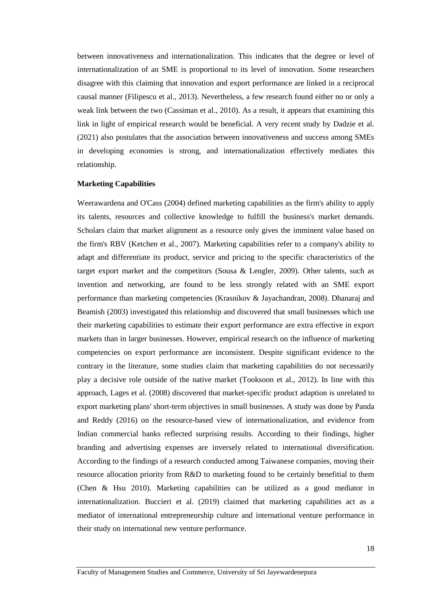between innovativeness and internationalization. This indicates that the degree or level of internationalization of an SME is proportional to its level of innovation. Some researchers disagree with this claiming that innovation and export performance are linked in a reciprocal causal manner (Filipescu et al., 2013). Nevertheless, a few research found either no or only a weak link between the two (Cassiman et al., 2010). As a result, it appears that examining this link in light of empirical research would be beneficial. A very recent study by Dadzie et al. (2021) also postulates that the association between innovativeness and success among SMEs in developing economies is strong, and internationalization effectively mediates this relationship.

#### **Marketing Capabilities**

Weerawardena and O'Cass (2004) defined marketing capabilities as the firm's ability to apply its talents, resources and collective knowledge to fulfill the business's market demands. Scholars claim that market alignment as a resource only gives the imminent value based on the firm's RBV (Ketchen et al., 2007). Marketing capabilities refer to a company's ability to adapt and differentiate its product, service and pricing to the specific characteristics of the target export market and the competitors (Sousa & Lengler, 2009). Other talents, such as invention and networking, are found to be less strongly related with an SME export performance than marketing competencies (Krasnikov & Jayachandran, 2008). Dhanaraj and Beamish (2003) investigated this relationship and discovered that small businesses which use their marketing capabilities to estimate their export performance are extra effective in export markets than in larger businesses. However, empirical research on the influence of marketing competencies on export performance are inconsistent. Despite significant evidence to the contrary in the literature, some studies claim that marketing capabilities do not necessarily play a decisive role outside of the native market (Tooksoon et al., 2012). In line with this approach, Lages et al. (2008) discovered that market-specific product adaption is unrelated to export marketing plans' short-term objectives in small businesses. A study was done by Panda and Reddy (2016) on the resource-based view of internationalization, and evidence from Indian commercial banks reflected surprising results. According to their findings, higher branding and advertising expenses are inversely related to international diversification. According to the findings of a research conducted among Taiwanese companies, moving their resource allocation priority from R&D to marketing found to be certainly benefitial to them (Chen & Hsu 2010). Marketing capabilities can be utilized as a good mediator in internationalization. Buccieri et al. (2019) claimed that marketing capabilities act as a mediator of international entrepreneurship culture and international venture performance in their study on international new venture performance.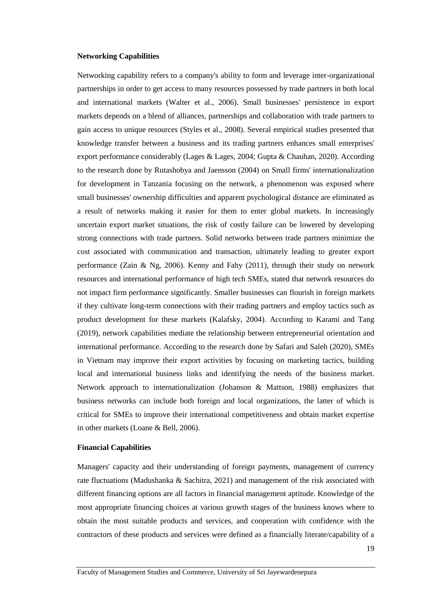### **Networking Capabilities**

Networking capability refers to a company's ability to form and leverage inter-organizational partnerships in order to get access to many resources possessed by trade partners in both local and international markets (Walter et al., 2006). Small businesses' persistence in export markets depends on a blend of alliances, partnerships and collaboration with trade partners to gain access to unique resources (Styles et al., 2008). Several empirical studies presented that knowledge transfer between a business and its trading partners enhances small enterprises' export performance considerably (Lages & Lages, 2004; Gupta & Chauhan, 2020). According to the research done by Rutashobya and Jaensson (2004) on Small firms' internationalization for development in Tanzania focusing on the network, a phenomenon was exposed where small businesses' ownership difficulties and apparent psychological distance are eliminated as a result of networks making it easier for them to enter global markets. In increasingly uncertain export market situations, the risk of costly failure can be lowered by developing strong connections with trade partners. Solid networks between trade partners minimize the cost associated with communication and transaction, ultimately leading to greater export performance (Zain & Ng, 2006). Kenny and Fahy (2011), through their study on network resources and international performance of high tech SMEs, stated that network resources do not impact firm performance significantly. Smaller businesses can flourish in foreign markets if they cultivate long-term connections with their trading partners and employ tactics such as product development for these markets (Kalafsky, 2004). According to Karami and Tang (2019), network capabilities mediate the relationship between entrepreneurial orientation and international performance. According to the research done by Safari and Saleh (2020), SMEs in Vietnam may improve their export activities by focusing on marketing tactics, building local and international business links and identifying the needs of the business market. Network approach to internationalization (Johanson & Mattson, 1988) emphasizes that business networks can include both foreign and local organizations, the latter of which is critical for SMEs to improve their international competitiveness and obtain market expertise in other markets (Loane & Bell, 2006).

#### **Financial Capabilities**

Managers' capacity and their understanding of foreign payments, management of currency rate fluctuations (Madushanka & Sachitra, 2021) and management of the risk associated with different financing options are all factors in financial management aptitude. Knowledge of the most appropriate financing choices at various growth stages of the business knows where to obtain the most suitable products and services, and cooperation with confidence with the contractors of these products and services were defined as a financially literate/capability of a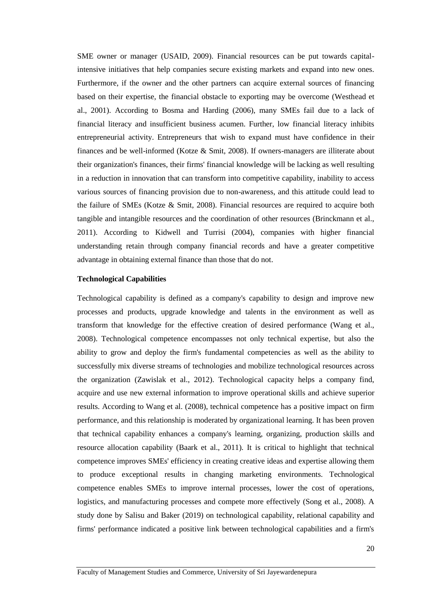SME owner or manager (USAID, 2009). Financial resources can be put towards capitalintensive initiatives that help companies secure existing markets and expand into new ones. Furthermore, if the owner and the other partners can acquire external sources of financing based on their expertise, the financial obstacle to exporting may be overcome (Westhead et al., 2001). According to Bosma and Harding (2006), many SMEs fail due to a lack of financial literacy and insufficient business acumen. Further, low financial literacy inhibits entrepreneurial activity. Entrepreneurs that wish to expand must have confidence in their finances and be well-informed (Kotze & Smit, 2008). If owners-managers are illiterate about their organization's finances, their firms' financial knowledge will be lacking as well resulting in a reduction in innovation that can transform into competitive capability, inability to access various sources of financing provision due to non-awareness, and this attitude could lead to the failure of SMEs (Kotze & Smit, 2008). Financial resources are required to acquire both tangible and intangible resources and the coordination of other resources (Brinckmann et al., 2011). According to Kidwell and Turrisi (2004), companies with higher financial understanding retain through company financial records and have a greater competitive advantage in obtaining external finance than those that do not.

#### **Technological Capabilities**

Technological capability is defined as a company's capability to design and improve new processes and products, upgrade knowledge and talents in the environment as well as transform that knowledge for the effective creation of desired performance (Wang et al., 2008). Technological competence encompasses not only technical expertise, but also the ability to grow and deploy the firm's fundamental competencies as well as the ability to successfully mix diverse streams of technologies and mobilize technological resources across the organization (Zawislak et al., 2012). Technological capacity helps a company find, acquire and use new external information to improve operational skills and achieve superior results. According to Wang et al. (2008), technical competence has a positive impact on firm performance, and this relationship is moderated by organizational learning. It has been proven that technical capability enhances a company's learning, organizing, production skills and resource allocation capability (Baark et al., 2011). It is critical to highlight that technical competence improves SMEs' efficiency in creating creative ideas and expertise allowing them to produce exceptional results in changing marketing environments. Technological competence enables SMEs to improve internal processes, lower the cost of operations, logistics, and manufacturing processes and compete more effectively (Song et al., 2008). A study done by Salisu and Baker (2019) on technological capability, relational capability and firms' performance indicated a positive link between technological capabilities and a firm's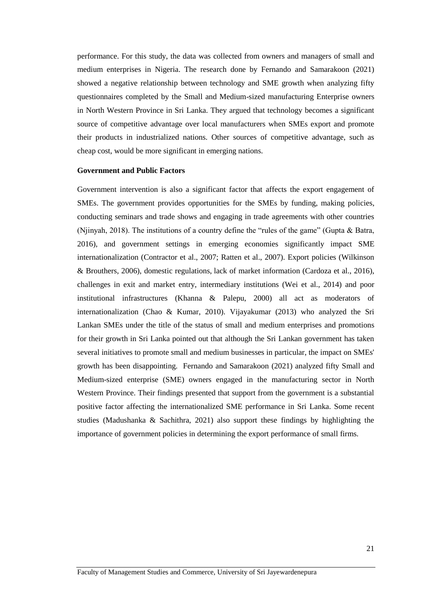performance. For this study, the data was collected from owners and managers of small and medium enterprises in Nigeria. The research done by Fernando and Samarakoon (2021) showed a negative relationship between technology and SME growth when analyzing fifty questionnaires completed by the Small and Medium-sized manufacturing Enterprise owners in North Western Province in Sri Lanka. They argued that technology becomes a significant source of competitive advantage over local manufacturers when SMEs export and promote their products in industrialized nations. Other sources of competitive advantage, such as cheap cost, would be more significant in emerging nations.

#### **Government and Public Factors**

Government intervention is also a significant factor that affects the export engagement of SMEs. The government provides opportunities for the SMEs by funding, making policies, conducting seminars and trade shows and engaging in trade agreements with other countries (Njinyah, 2018). The institutions of a country define the "rules of the game" (Gupta & Batra, 2016), and government settings in emerging economies significantly impact SME internationalization (Contractor et al., 2007; Ratten et al., 2007). Export policies (Wilkinson & Brouthers, 2006), domestic regulations, lack of market information (Cardoza et al., 2016), challenges in exit and market entry, intermediary institutions (Wei et al., 2014) and poor institutional infrastructures (Khanna & Palepu, 2000) all act as moderators of internationalization (Chao & Kumar, 2010). Vijayakumar (2013) who analyzed the Sri Lankan SMEs under the title of the status of small and medium enterprises and promotions for their growth in Sri Lanka pointed out that although the Sri Lankan government has taken several initiatives to promote small and medium businesses in particular, the impact on SMEs' growth has been disappointing. Fernando and Samarakoon (2021) analyzed fifty Small and Medium-sized enterprise (SME) owners engaged in the manufacturing sector in North Western Province. Their findings presented that support from the government is a substantial positive factor affecting the internationalized SME performance in Sri Lanka. Some recent studies (Madushanka & Sachithra, 2021) also support these findings by highlighting the importance of government policies in determining the export performance of small firms.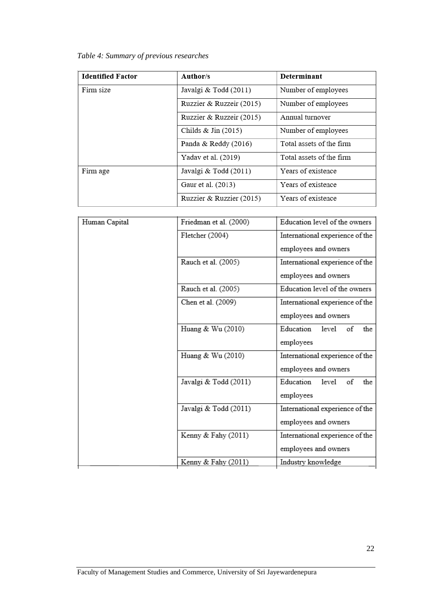*Table 4: Summary of previous researches*

| <b>Identified Factor</b> | Author/s                 | Determinant              |
|--------------------------|--------------------------|--------------------------|
| Firm size                | Javalgi & Todd (2011)    | Number of employees      |
|                          | Ruzzier & Ruzzeir (2015) | Number of employees      |
|                          | Ruzzier & Ruzzeir (2015) | Annual turnover          |
|                          | Childs $&$ Jin $(2015)$  | Number of employees      |
|                          | Panda & Reddy (2016)     | Total assets of the firm |
|                          | Yadav et al. (2019)      | Total assets of the firm |
| Firm age                 | Javalgi & Todd (2011)    | Years of existence       |
|                          | Gaur et al. (2013)       | Years of existence       |
|                          | Ruzzier & Ruzzier (2015) | Years of existence       |

| Human Capital | Friedman et al. (2000) | Education level of the owners   |  |
|---------------|------------------------|---------------------------------|--|
|               | Fletcher (2004)        | International experience of the |  |
|               |                        | employees and owners            |  |
|               | Rauch et al. (2005)    | International experience of the |  |
|               |                        | employees and owners            |  |
|               | Rauch et al. (2005)    | Education level of the owners   |  |
|               | Chen et al. (2009)     | International experience of the |  |
|               |                        | employees and owners            |  |
|               | Huang & Wu (2010)      | Education<br>level<br>of<br>the |  |
|               |                        | employees                       |  |
|               | Huang & Wu (2010)      | International experience of the |  |
|               |                        | employees and owners            |  |
|               | Javalgi & Todd (2011)  | Education<br>level<br>of<br>the |  |
|               |                        | employees                       |  |
|               | Javalgi & Todd (2011)  | International experience of the |  |
|               |                        | employees and owners            |  |
|               | Kenny & Fahy (2011)    | International experience of the |  |
|               |                        | employees and owners            |  |
|               | Kenny & Fahy (2011)    | Industry knowledge              |  |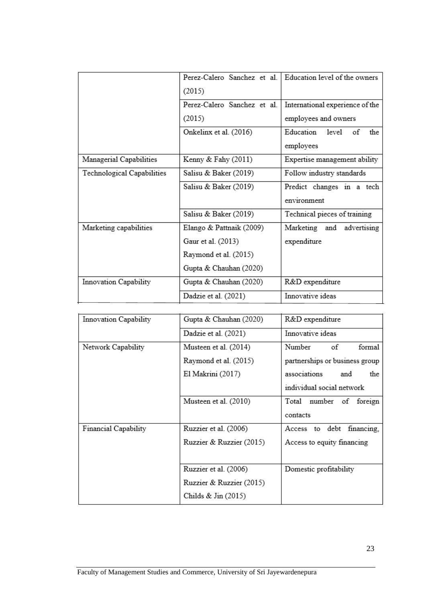|                            | Perez-Calero Sanchez et al  | Education level of the owners   |
|----------------------------|-----------------------------|---------------------------------|
|                            | (2015)                      |                                 |
|                            | Perez-Calero Sanchez et al. | International experience of the |
|                            | (2015)                      | employees and owners            |
|                            | Onkelinx et al. (2016)      | Education<br>level of<br>the    |
|                            |                             | employees                       |
| Managerial Capabilities    | Kenny & Fahy (2011)         | Expertise management ability    |
| Technological Capabilities | Salisu & Baker (2019)       | Follow industry standards       |
|                            | Salisu & Baker (2019)       | Predict changes in a tech       |
|                            |                             | environment                     |
|                            | Salisu & Baker (2019)       | Technical pieces of training    |
| Marketing capabilities     | Elango & Pattnaik (2009)    | Marketing and advertising       |
|                            | Gaur et al. (2013)          | expenditure                     |
|                            | Raymond et al. (2015)       |                                 |
|                            | Gupta & Chauhan (2020)      |                                 |
| Innovation Capability      | Gupta & Chauhan (2020)      | R&D expenditure                 |
|                            | Dadzie et al. (2021)        | Innovative ideas                |

| Innovation Capability | Gupta & Chauhan (2020)   | R&D expenditure                |  |
|-----------------------|--------------------------|--------------------------------|--|
|                       | Dadzie et al. (2021)     | Innovative ideas               |  |
| Network Capability    | Musteen et al. (2014)    | Number<br>of<br>formal         |  |
|                       | Raymond et al. (2015)    | partnerships or business group |  |
|                       | El Makrini (2017)        | associations<br>the<br>and     |  |
|                       |                          | individual social network.     |  |
|                       | Musteen et al. (2010)    | Total number of<br>foreign     |  |
|                       |                          | contacts                       |  |
| Financial Capability  | Ruzzier et al. (2006)    | Access to debt financing,      |  |
|                       | Ruzzier & Ruzzier (2015) | Access to equity financing     |  |
|                       |                          |                                |  |
|                       | Ruzzier et al. (2006)    | Domestic profitability         |  |
|                       | Ruzzier & Ruzzier (2015) |                                |  |
|                       | Childs & Jin (2015)      |                                |  |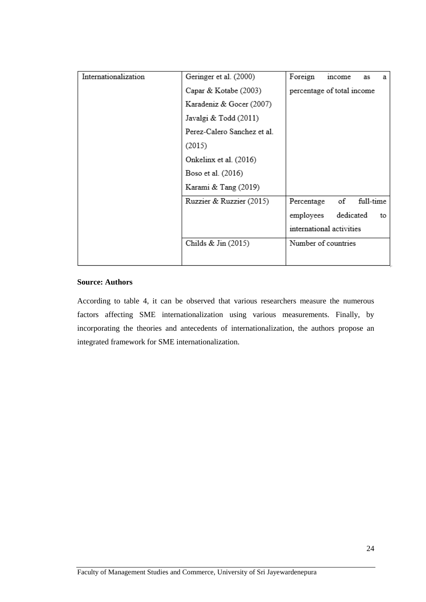| Internationalization | Geringer et al. (2000)      | Foreign<br>income<br>a<br>as  |
|----------------------|-----------------------------|-------------------------------|
|                      | Capar & Kotabe (2003)       | percentage of total income    |
|                      | Karadeniz & Gocer (2007)    |                               |
|                      | Javalgi & Todd (2011)       |                               |
|                      | Perez-Calero Sanchez et al. |                               |
|                      | (2015)                      |                               |
|                      | Onkelinx et al. (2016)      |                               |
|                      | Boso et al. (2016)          |                               |
|                      | Karami & Tang (2019)        |                               |
|                      | Ruzzier & Ruzzier (2015)    | full-time<br>of<br>Percentage |
|                      |                             | employees<br>dedicated<br>to  |
|                      |                             | international activities      |
|                      | Childs & Jin (2015)         | Number of countries           |
|                      |                             |                               |

# **Source: Authors**

According to table 4, it can be observed that various researchers measure the numerous factors affecting SME internationalization using various measurements. Finally, by incorporating the theories and antecedents of internationalization, the authors propose an integrated framework for SME internationalization.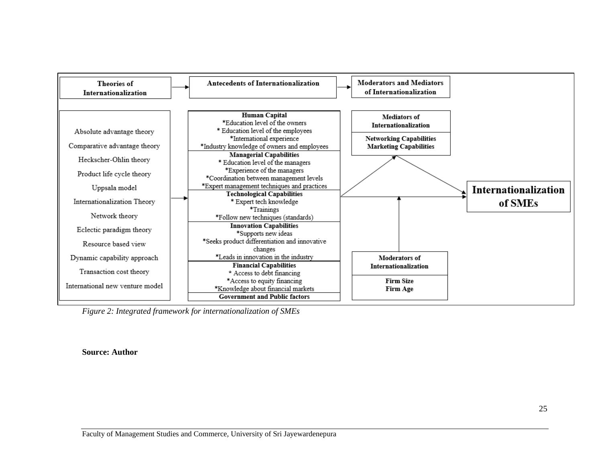

*Figure 2: Integrated framework for internationalization of SMEs*

# **Source: Author**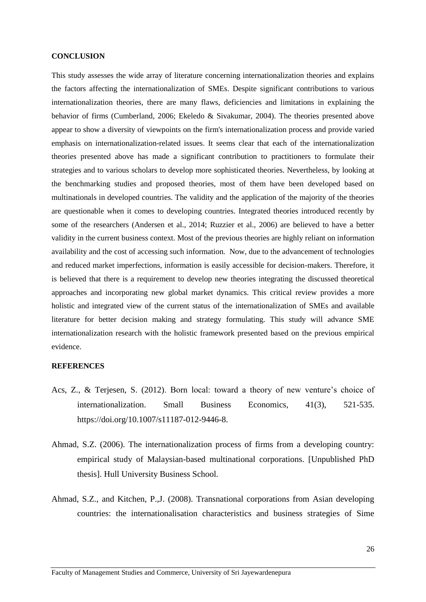#### **CONCLUSION**

This study assesses the wide array of literature concerning internationalization theories and explains the factors affecting the internationalization of SMEs. Despite significant contributions to various internationalization theories, there are many flaws, deficiencies and limitations in explaining the behavior of firms (Cumberland, 2006; Ekeledo & Sivakumar, 2004). The theories presented above appear to show a diversity of viewpoints on the firm's internationalization process and provide varied emphasis on internationalization-related issues. It seems clear that each of the internationalization theories presented above has made a significant contribution to practitioners to formulate their strategies and to various scholars to develop more sophisticated theories. Nevertheless, by looking at the benchmarking studies and proposed theories, most of them have been developed based on multinationals in developed countries. The validity and the application of the majority of the theories are questionable when it comes to developing countries. Integrated theories introduced recently by some of the researchers (Andersen et al., 2014; Ruzzier et al., 2006) are believed to have a better validity in the current business context. Most of the previous theories are highly reliant on information availability and the cost of accessing such information. Now, due to the advancement of technologies and reduced market imperfections, information is easily accessible for decision-makers. Therefore, it is believed that there is a requirement to develop new theories integrating the discussed theoretical approaches and incorporating new global market dynamics. This critical review provides a more holistic and integrated view of the current status of the internationalization of SMEs and available literature for better decision making and strategy formulating. This study will advance SME internationalization research with the holistic framework presented based on the previous empirical evidence.

# **REFERENCES**

- Acs, Z., & Terjesen, S. (2012). Born local: toward a theory of new venture's choice of internationalization. Small Business Economics. 41(3), 521-535. https://doi.org/10.1007/s11187-012-9446-8.
- Ahmad, S.Z. (2006). The internationalization process of firms from a developing country: empirical study of Malaysian-based multinational corporations. [Unpublished PhD thesis]. Hull University Business School.
- Ahmad, S.Z., and Kitchen, P.,J. (2008). Transnational corporations from Asian developing countries: the internationalisation characteristics and business strategies of Sime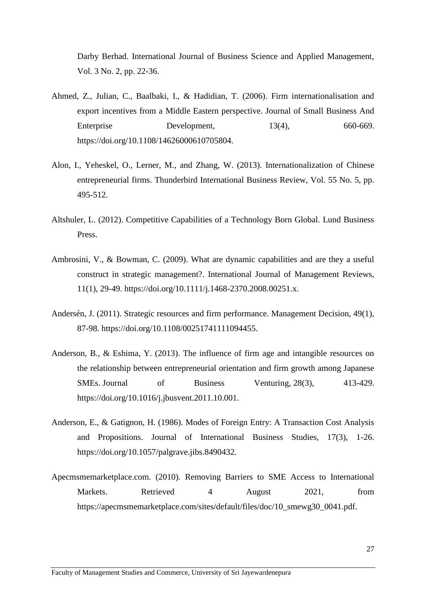Darby Berhad. International Journal of Business Science and Applied Management, Vol. 3 No. 2, pp. 22-36.

- Ahmed, Z., Julian, C., Baalbaki, I., & Hadidian, T. (2006). Firm internationalisation and export incentives from a Middle Eastern perspective. Journal of Small Business And Enterprise Development, 13(4), 660-669. https://doi.org/10.1108/14626000610705804.
- Alon, I., Yeheskel, O., Lerner, M., and Zhang, W. (2013). Internationalization of Chinese entrepreneurial firms. Thunderbird International Business Review, Vol. 55 No. 5, pp. 495-512.
- Altshuler, L. (2012). Competitive Capabilities of a Technology Born Global. Lund Business Press.
- Ambrosini, V., & Bowman, C. (2009). What are dynamic capabilities and are they a useful construct in strategic management?. International Journal of Management Reviews, 11(1), 29-49. https://doi.org/10.1111/j.1468-2370.2008.00251.x.
- Andersén, J. (2011). Strategic resources and firm performance. Management Decision, 49(1), 87-98. https://doi.org/10.1108/00251741111094455.
- Anderson, B., & Eshima, Y. (2013). The influence of firm age and intangible resources on the relationship between entrepreneurial orientation and firm growth among Japanese SMEs. Journal of Business Venturing, 28(3), 413-429. https://doi.org/10.1016/j.jbusvent.2011.10.001.
- Anderson, E., & Gatignon, H. (1986). Modes of Foreign Entry: A Transaction Cost Analysis and Propositions. Journal of International Business Studies, 17(3), 1-26. https://doi.org/10.1057/palgrave.jibs.8490432.
- Apecmsmemarketplace.com. (2010). Removing Barriers to SME Access to International Markets. Retrieved 4 August 2021, from [https://apecmsmemarketplace.com/sites/default/files/doc/10\\_smewg30\\_0041.pdf.](https://apecmsmemarketplace.com/sites/default/files/doc/10_smewg30_0041.pdf)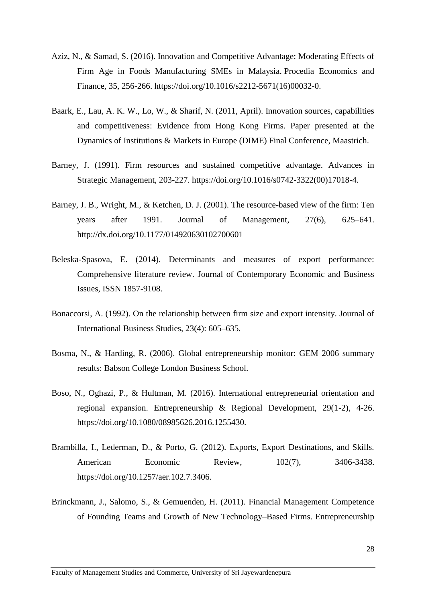- Aziz, N., & Samad, S. (2016). Innovation and Competitive Advantage: Moderating Effects of Firm Age in Foods Manufacturing SMEs in Malaysia. Procedia Economics and Finance, 35, 256-266. https://doi.org/10.1016/s2212-5671(16)00032-0.
- Baark, E., Lau, A. K. W., Lo, W., & Sharif, N. (2011, April). Innovation sources, capabilities and competitiveness: Evidence from Hong Kong Firms. Paper presented at the Dynamics of Institutions & Markets in Europe (DIME) Final Conference, Maastrich.
- Barney, J. (1991). Firm resources and sustained competitive advantage. Advances in Strategic Management, 203-227. https://doi.org/10.1016/s0742-3322(00)17018-4.
- Barney, J. B., Wright, M., & Ketchen, D. J. (2001). The resource-based view of the firm: Ten years after 1991. Journal of Management, 27(6), 625–641. http://dx.doi.org/10.1177/014920630102700601
- Beleska-Spasova, E. (2014). Determinants and measures of export performance: Comprehensive literature review. Journal of Contemporary Economic and Business Issues, ISSN 1857-9108.
- Bonaccorsi, A. (1992). On the relationship between firm size and export intensity. Journal of International Business Studies, 23(4): 605–635.
- Bosma, N., & Harding, R. (2006). Global entrepreneurship monitor: GEM 2006 summary results: Babson College London Business School.
- Boso, N., Oghazi, P., & Hultman, M. (2016). International entrepreneurial orientation and regional expansion. Entrepreneurship & Regional Development, 29(1-2), 4-26. https://doi.org/10.1080/08985626.2016.1255430.
- Brambilla, I., Lederman, D., & Porto, G. (2012). Exports, Export Destinations, and Skills. American Economic Review,  $102(7)$ , 3406-3438. https://doi.org/10.1257/aer.102.7.3406.
- Brinckmann, J., Salomo, S., & Gemuenden, H. (2011). Financial Management Competence of Founding Teams and Growth of New Technology–Based Firms. Entrepreneurship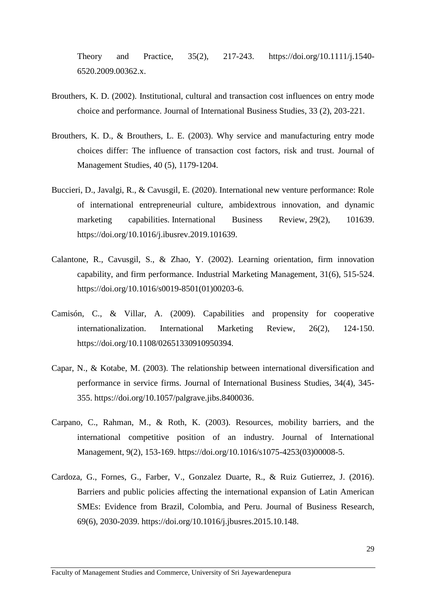Theory and Practice, 35(2), 217-243. https://doi.org/10.1111/j.1540- 6520.2009.00362.x.

- Brouthers, K. D. (2002). Institutional, cultural and transaction cost influences on entry mode choice and performance. Journal of International Business Studies, 33 (2), 203-221.
- Brouthers, K. D., & Brouthers, L. E. (2003). Why service and manufacturing entry mode choices differ: The influence of transaction cost factors, risk and trust. Journal of Management Studies, 40 (5), 1179-1204.
- Buccieri, D., Javalgi, R., & Cavusgil, E. (2020). International new venture performance: Role of international entrepreneurial culture, ambidextrous innovation, and dynamic marketing capabilities. International Business Review, 29(2), 101639. https://doi.org/10.1016/j.ibusrev.2019.101639.
- Calantone, R., Cavusgil, S., & Zhao, Y. (2002). Learning orientation, firm innovation capability, and firm performance. Industrial Marketing Management, 31(6), 515-524. https://doi.org/10.1016/s0019-8501(01)00203-6.
- Camisón, C., & Villar, A. (2009). Capabilities and propensity for cooperative internationalization. International Marketing Review, 26(2), 124-150. https://doi.org/10.1108/02651330910950394.
- Capar, N., & Kotabe, M. (2003). The relationship between international diversification and performance in service firms. Journal of International Business Studies, 34(4), 345- 355. https://doi.org/10.1057/palgrave.jibs.8400036.
- Carpano, C., Rahman, M., & Roth, K. (2003). Resources, mobility barriers, and the international competitive position of an industry. Journal of International Management, 9(2), 153-169. [https://doi.org/10.1016/s1075-4253\(03\)00008-5.](https://doi.org/10.1016/s1075-4253(03)00008-5)
- Cardoza, G., Fornes, G., Farber, V., Gonzalez Duarte, R., & Ruiz Gutierrez, J. (2016). Barriers and public policies affecting the international expansion of Latin American SMEs: Evidence from Brazil, Colombia, and Peru. Journal of Business Research, 69(6), 2030-2039. https://doi.org/10.1016/j.jbusres.2015.10.148.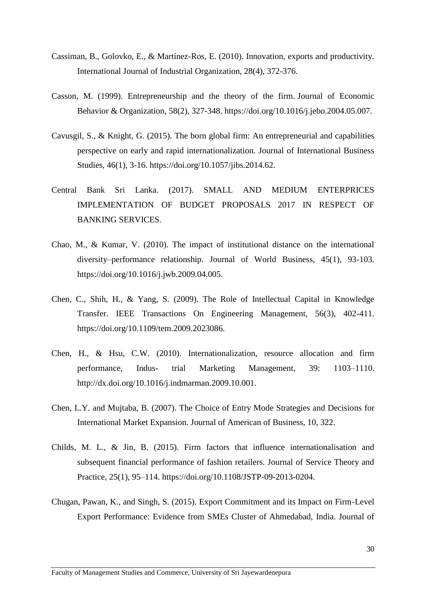- Cassiman, B., Golovko, E., & Martínez-Ros, E. (2010). Innovation, exports and productivity. International Journal of Industrial Organization, 28(4), 372-376.
- Casson, M. (1999). Entrepreneurship and the theory of the firm. Journal of Economic Behavior & Organization, 58(2), 327-348. https://doi.org/10.1016/j.jebo.2004.05.007.
- Cavusgil, S., & Knight, G. (2015). The born global firm: An entrepreneurial and capabilities perspective on early and rapid internationalization. Journal of International Business Studies, 46(1), 3-16. [https://doi.org/10.1057/jibs.2014.62.](https://doi.org/10.1057/jibs.2014.62)
- Central Bank Sri Lanka. (2017). SMALL AND MEDIUM ENTERPRICES IMPLEMENTATION OF BUDGET PROPOSALS 2017 IN RESPECT OF BANKING SERVICES.
- Chao, M., & Kumar, V. (2010). The impact of institutional distance on the international diversity–performance relationship. Journal of World Business, 45(1), 93-103. https://doi.org/10.1016/j.jwb.2009.04.005.
- Chen, C., Shih, H., & Yang, S. (2009). The Role of Intellectual Capital in Knowledge Transfer. IEEE Transactions On Engineering Management, 56(3), 402-411. https://doi.org/10.1109/tem.2009.2023086.
- Chen, H., & Hsu, C.W. (2010). Internationalization, resource allocation and firm performance, Indus- trial Marketing Management, 39: 1103–1110. http://dx.doi.org/10.1016/j.indmarman.2009.10.001.
- Chen, L.Y. and Mujtaba, B. (2007). The Choice of Entry Mode Strategies and Decisions for International Market Expansion. Journal of American of Business, 10, 322.
- Childs, M. L., & Jin, B. (2015). Firm factors that influence internationalisation and subsequent financial performance of fashion retailers. Journal of Service Theory and Practice, 25(1), 95–114. https://doi.org/10.1108/JSTP-09-2013-0204.
- Chugan, Pawan, K., and Singh, S. (2015). Export Commitment and its Impact on Firm-Level Export Performance: Evidence from SMEs Cluster of Ahmedabad, India. Journal of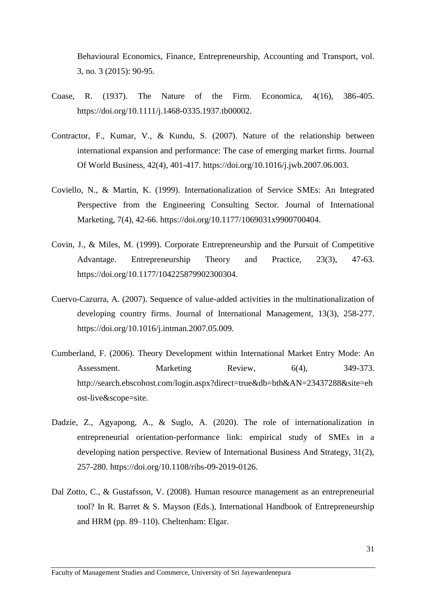Behavioural Economics, Finance, Entrepreneurship, Accounting and Transport, vol. 3, no. 3 (2015): 90-95.

- Coase, R. (1937). The Nature of the Firm. Economica, 4(16), 386-405. https://doi.org/10.1111/j.1468-0335.1937.tb00002.
- Contractor, F., Kumar, V., & Kundu, S. (2007). Nature of the relationship between international expansion and performance: The case of emerging market firms. Journal Of World Business, 42(4), 401-417. https://doi.org/10.1016/j.jwb.2007.06.003.
- Coviello, N., & Martin, K. (1999). Internationalization of Service SMEs: An Integrated Perspective from the Engineering Consulting Sector. Journal of International Marketing, 7(4), 42-66. https://doi.org/10.1177/1069031x9900700404.
- Covin, J., & Miles, M. (1999). Corporate Entrepreneurship and the Pursuit of Competitive Advantage. Entrepreneurship Theory and Practice, 23(3), 47-63. https://doi.org/10.1177/104225879902300304.
- Cuervo-Cazurra, A. (2007). Sequence of value-added activities in the multinationalization of developing country firms. Journal of International Management, 13(3), 258-277. https://doi.org/10.1016/j.intman.2007.05.009.
- Cumberland, F. (2006). Theory Development within International Market Entry Mode: An Assessment. Marketing Review, 6(4), 349-373. http://search.ebscohost.com/login.aspx?direct=true&db=bth&AN=23437288&site=eh ost-live&scope=site.
- Dadzie, Z., Agyapong, A., & Suglo, A. (2020). The role of internationalization in entrepreneurial orientation-performance link: empirical study of SMEs in a developing nation perspective. Review of International Business And Strategy, 31(2), 257-280. https://doi.org/10.1108/ribs-09-2019-0126.
- Dal Zotto, C., & Gustafsson, V. (2008). Human resource management as an entrepreneurial tool? In R. Barret & S. Mayson (Eds.), International Handbook of Entrepreneurship and HRM (pp. 89–110). Cheltenham: Elgar.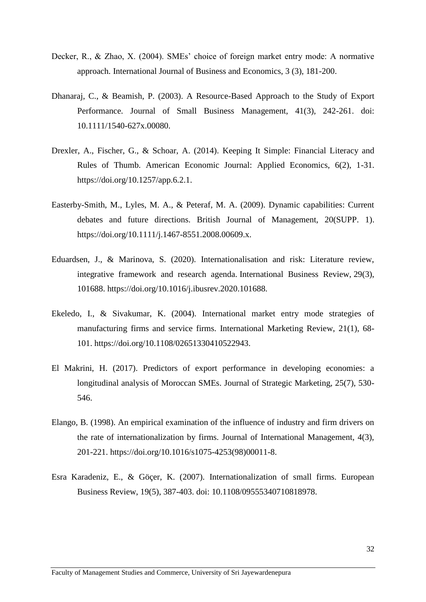- Decker, R., & Zhao, X. (2004). SMEs' choice of foreign market entry mode: A normative approach. International Journal of Business and Economics, 3 (3), 181-200.
- Dhanaraj, C., & Beamish, P. (2003). A Resource-Based Approach to the Study of Export Performance. Journal of Small Business Management, 41(3), 242-261. doi: 10.1111/1540-627x.00080.
- Drexler, A., Fischer, G., & Schoar, A. (2014). Keeping It Simple: Financial Literacy and Rules of Thumb. American Economic Journal: Applied Economics, 6(2), 1-31. https://doi.org/10.1257/app.6.2.1.
- Easterby-Smith, M., Lyles, M. A., & Peteraf, M. A. (2009). Dynamic capabilities: Current debates and future directions. British Journal of Management, 20(SUPP. 1). [https://doi.org/10.1111/j.1467-8551.2008.00609.x.](https://doi.org/10.1111/j.1467-8551.2008.00609.x)
- Eduardsen, J., & Marinova, S. (2020). Internationalisation and risk: Literature review, integrative framework and research agenda. International Business Review, 29(3), 101688. https://doi.org/10.1016/j.ibusrev.2020.101688.
- Ekeledo, I., & Sivakumar, K. (2004). International market entry mode strategies of manufacturing firms and service firms. International Marketing Review, 21(1), 68- 101. https://doi.org/10.1108/02651330410522943.
- El Makrini, H. (2017). Predictors of export performance in developing economies: a longitudinal analysis of Moroccan SMEs. Journal of Strategic Marketing, 25(7), 530- 546.
- Elango, B. (1998). An empirical examination of the influence of industry and firm drivers on the rate of internationalization by firms. Journal of International Management, 4(3), 201-221. [https://doi.org/10.1016/s1075-4253\(98\)00011-8.](https://doi.org/10.1016/s1075-4253(98)00011-8)
- Esra Karadeniz, E., & Göçer, K. (2007). Internationalization of small firms. European Business Review, 19(5), 387-403. doi: 10.1108/09555340710818978.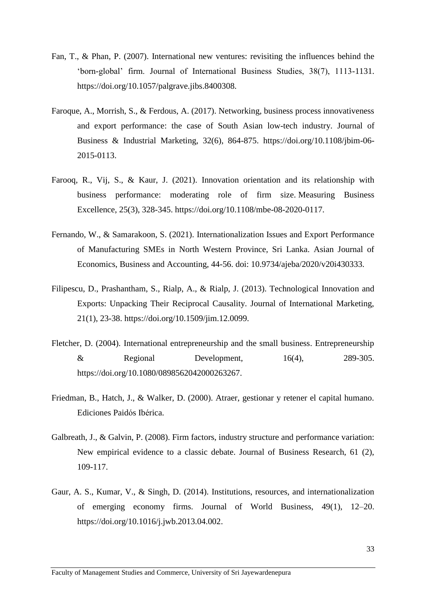- Fan, T., & Phan, P. (2007). International new ventures: revisiting the influences behind the 'born-global' firm. Journal of International Business Studies, 38(7), 1113-1131. https://doi.org/10.1057/palgrave.jibs.8400308.
- Faroque, A., Morrish, S., & Ferdous, A. (2017). Networking, business process innovativeness and export performance: the case of South Asian low-tech industry. Journal of Business & Industrial Marketing, 32(6), 864-875. [https://doi.org/10.1108/jbim-06-](https://doi.org/10.1108/jbim-06-2015-0113) [2015-0113.](https://doi.org/10.1108/jbim-06-2015-0113)
- Farooq, R., Vij, S., & Kaur, J. (2021). Innovation orientation and its relationship with business performance: moderating role of firm size. Measuring Business Excellence, 25(3), 328-345. https://doi.org/10.1108/mbe-08-2020-0117.
- Fernando, W., & Samarakoon, S. (2021). Internationalization Issues and Export Performance of Manufacturing SMEs in North Western Province, Sri Lanka. Asian Journal of Economics, Business and Accounting, 44-56. doi: 10.9734/ajeba/2020/v20i430333.
- Filipescu, D., Prashantham, S., Rialp, A., & Rialp, J. (2013). Technological Innovation and Exports: Unpacking Their Reciprocal Causality. Journal of International Marketing, 21(1), 23-38. https://doi.org/10.1509/jim.12.0099.
- Fletcher, D. (2004). International entrepreneurship and the small business. Entrepreneurship & Regional Development, 16(4), 289-305. https://doi.org/10.1080/0898562042000263267.
- Friedman, B., Hatch, J., & Walker, D. (2000). Atraer, gestionar y retener el capital humano. Ediciones Paidós Ibérica.
- Galbreath, J., & Galvin, P. (2008). Firm factors, industry structure and performance variation: New empirical evidence to a classic debate. Journal of Business Research, 61 (2), 109-117.
- Gaur, A. S., Kumar, V., & Singh, D. (2014). Institutions, resources, and internationalization of emerging economy firms. Journal of World Business, 49(1), 12–20. [https://doi.org/10.1016/j.jwb.2013.04.002.](https://doi.org/10.1016/j.jwb.2013.04.002)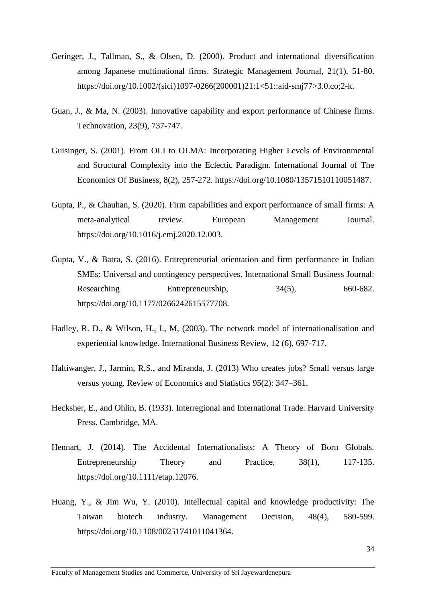- Geringer, J., Tallman, S., & Olsen, D. (2000). Product and international diversification among Japanese multinational firms. Strategic Management Journal, 21(1), 51-80. https://doi.org/10.1002/(sici)1097-0266(200001)21:1<51::aid-smj77>3.0.co;2-k.
- Guan, J., & Ma, N. (2003). Innovative capability and export performance of Chinese firms. Technovation, 23(9), 737-747.
- Guisinger, S. (2001). From OLI to OLMA: Incorporating Higher Levels of Environmental and Structural Complexity into the Eclectic Paradigm. International Journal of The Economics Of Business, 8(2), 257-272. https://doi.org/10.1080/13571510110051487.
- Gupta, P., & Chauhan, S. (2020). Firm capabilities and export performance of small firms: A meta-analytical review. European Management Journal. https://doi.org/10.1016/j.emj.2020.12.003.
- Gupta, V., & Batra, S. (2016). Entrepreneurial orientation and firm performance in Indian SMEs: Universal and contingency perspectives. International Small Business Journal: Researching Entrepreneurship, 34(5), 660-682. https://doi.org/10.1177/0266242615577708.
- Hadley, R. D., & Wilson, H., I., M, (2003). The network model of internationalisation and experiential knowledge. International Business Review, 12 (6), 697-717.
- Haltiwanger, J., Jarmin, R,S., and Miranda, J. (2013) Who creates jobs? Small versus large versus young. Review of Economics and Statistics 95(2): 347–361.
- Hecksher, E., and Ohlin, B. (1933). Interregional and International Trade. Harvard University Press. Cambridge, MA.
- Hennart, J. (2014). The Accidental Internationalists: A Theory of Born Globals. Entrepreneurship Theory and Practice, 38(1), 117-135. https://doi.org/10.1111/etap.12076.
- Huang, Y., & Jim Wu, Y. (2010). Intellectual capital and knowledge productivity: The Taiwan biotech industry. Management Decision, 48(4), 580-599. https://doi.org/10.1108/00251741011041364.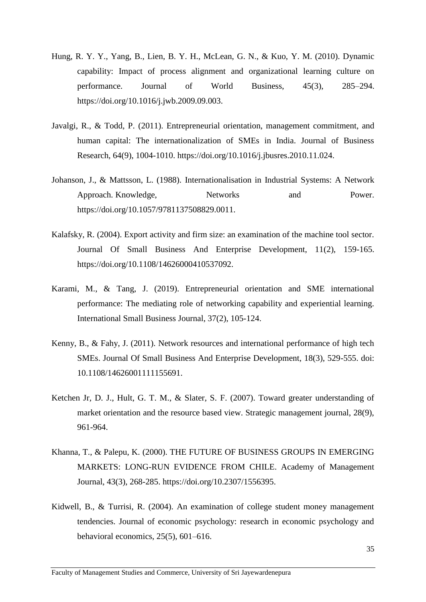- Hung, R. Y. Y., Yang, B., Lien, B. Y. H., McLean, G. N., & Kuo, Y. M. (2010). Dynamic capability: Impact of process alignment and organizational learning culture on performance. Journal of World Business, 45(3), 285–294. https://doi.org/10.1016/j.jwb.2009.09.003.
- Javalgi, R., & Todd, P. (2011). Entrepreneurial orientation, management commitment, and human capital: The internationalization of SMEs in India. Journal of Business Research, 64(9), 1004-1010. https://doi.org/10.1016/j.jbusres.2010.11.024.
- Johanson, J., & Mattsson, L. (1988). Internationalisation in Industrial Systems: A Network Approach. Knowledge,  $\blacksquare$  Networks and Power. https://doi.org/10.1057/9781137508829.0011.
- Kalafsky, R. (2004). Export activity and firm size: an examination of the machine tool sector. Journal Of Small Business And Enterprise Development, 11(2), 159-165. https://doi.org/10.1108/14626000410537092.
- Karami, M., & Tang, J. (2019). Entrepreneurial orientation and SME international performance: The mediating role of networking capability and experiential learning. International Small Business Journal, 37(2), 105-124.
- Kenny, B., & Fahy, J. (2011). Network resources and international performance of high tech SMEs. Journal Of Small Business And Enterprise Development, 18(3), 529-555. doi: 10.1108/14626001111155691.
- Ketchen Jr, D. J., Hult, G. T. M., & Slater, S. F. (2007). Toward greater understanding of market orientation and the resource based view. Strategic management journal, 28(9), 961-964.
- Khanna, T., & Palepu, K. (2000). THE FUTURE OF BUSINESS GROUPS IN EMERGING MARKETS: LONG-RUN EVIDENCE FROM CHILE. Academy of Management Journal, 43(3), 268-285. https://doi.org/10.2307/1556395.
- Kidwell, B., & Turrisi, R. (2004). An examination of college student money management tendencies. Journal of economic psychology: research in economic psychology and behavioral economics, 25(5), 601–616.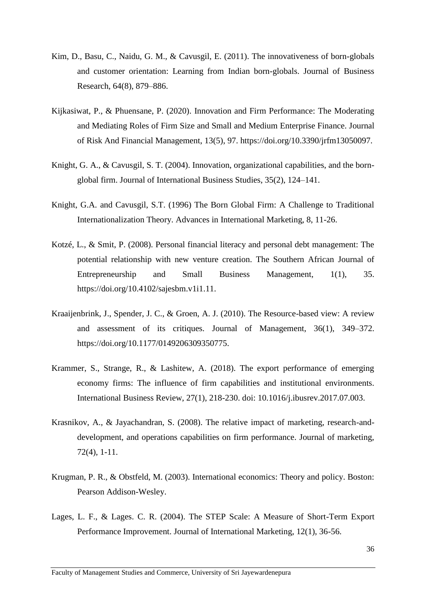- Kim, D., Basu, C., Naidu, G. M., & Cavusgil, E. (2011). The innovativeness of born-globals and customer orientation: Learning from Indian born-globals. Journal of Business Research, 64(8), 879–886.
- Kijkasiwat, P., & Phuensane, P. (2020). Innovation and Firm Performance: The Moderating and Mediating Roles of Firm Size and Small and Medium Enterprise Finance. Journal of Risk And Financial Management, 13(5), 97. https://doi.org/10.3390/jrfm13050097.
- Knight, G. A., & Cavusgil, S. T. (2004). Innovation, organizational capabilities, and the bornglobal firm. Journal of International Business Studies, 35(2), 124–141.
- Knight, G.A. and Cavusgil, S.T. (1996) The Born Global Firm: A Challenge to Traditional Internationalization Theory. Advances in International Marketing, 8, 11-26.
- Kotzé, L., & Smit, P. (2008). Personal financial literacy and personal debt management: The potential relationship with new venture creation. The Southern African Journal of Entrepreneurship and Small Business Management, 1(1), 35. https://doi.org/10.4102/sajesbm.v1i1.11.
- Kraaijenbrink, J., Spender, J. C., & Groen, A. J. (2010). The Resource-based view: A review and assessment of its critiques. Journal of Management, 36(1), 349–372. https://doi.org/10.1177/0149206309350775.
- Krammer, S., Strange, R., & Lashitew, A. (2018). The export performance of emerging economy firms: The influence of firm capabilities and institutional environments. International Business Review, 27(1), 218-230. doi: 10.1016/j.ibusrev.2017.07.003.
- Krasnikov, A., & Jayachandran, S. (2008). The relative impact of marketing, research-anddevelopment, and operations capabilities on firm performance. Journal of marketing, 72(4), 1-11.
- Krugman, P. R., & Obstfeld, M. (2003). International economics: Theory and policy. Boston: Pearson Addison-Wesley.
- Lages, L. F., & Lages. C. R. (2004). The STEP Scale: A Measure of Short-Term Export Performance Improvement. Journal of International Marketing, 12(1), 36-56.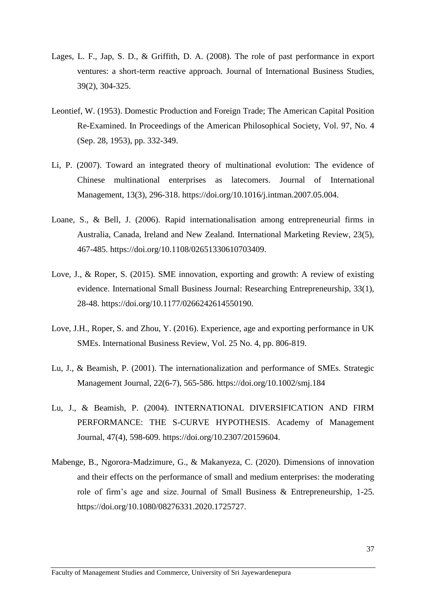- Lages, L. F., Jap, S. D., & Griffith, D. A. (2008). The role of past performance in export ventures: a short-term reactive approach. Journal of International Business Studies, 39(2), 304-325.
- Leontief, W. (1953). Domestic Production and Foreign Trade; The American Capital Position Re-Examined. In Proceedings of the American Philosophical Society, Vol. 97, No. 4 (Sep. 28, 1953), pp. 332-349.
- Li, P. (2007). Toward an integrated theory of multinational evolution: The evidence of Chinese multinational enterprises as latecomers. Journal of International Management, 13(3), 296-318. https://doi.org/10.1016/j.intman.2007.05.004.
- Loane, S., & Bell, J. (2006). Rapid internationalisation among entrepreneurial firms in Australia, Canada, Ireland and New Zealand. International Marketing Review, 23(5), 467-485. https://doi.org/10.1108/02651330610703409.
- Love, J., & Roper, S. (2015). SME innovation, exporting and growth: A review of existing evidence. International Small Business Journal: Researching Entrepreneurship, 33(1), 28-48. https://doi.org/10.1177/0266242614550190.
- Love, J.H., Roper, S. and Zhou, Y. (2016). Experience, age and exporting performance in UK SMEs. International Business Review, Vol. 25 No. 4, pp. 806-819.
- Lu, J., & Beamish, P. (2001). The internationalization and performance of SMEs. Strategic Management Journal, 22(6-7), 565-586. https://doi.org/10.1002/smj.184
- Lu, J., & Beamish, P. (2004). INTERNATIONAL DIVERSIFICATION AND FIRM PERFORMANCE: THE S-CURVE HYPOTHESIS. Academy of Management Journal, 47(4), 598-609. [https://doi.org/10.2307/20159604.](https://doi.org/10.2307/20159604)
- Mabenge, B., Ngorora-Madzimure, G., & Makanyeza, C. (2020). Dimensions of innovation and their effects on the performance of small and medium enterprises: the moderating role of firm's age and size. Journal of Small Business & Entrepreneurship, 1-25. https://doi.org/10.1080/08276331.2020.1725727.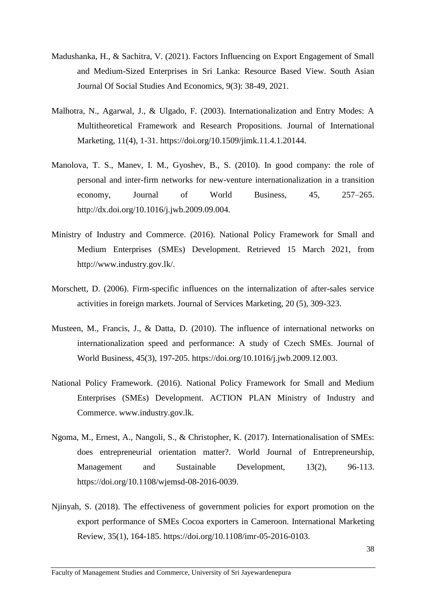- Madushanka, H., & Sachitra, V. (2021). Factors Influencing on Export Engagement of Small and Medium-Sized Enterprises in Sri Lanka: Resource Based View. South Asian Journal Of Social Studies And Economics, 9(3): 38-49, 2021.
- Malhotra, N., Agarwal, J., & Ulgado, F. (2003). Internationalization and Entry Modes: A Multitheoretical Framework and Research Propositions. Journal of International Marketing, 11(4), 1-31. https://doi.org/10.1509/jimk.11.4.1.20144.
- Manolova, T. S., Manev, I. M., Gyoshev, B., S. (2010). In good company: the role of personal and inter-firm networks for new-venture internationalization in a transition economy, Journal of World Business, 45, 257–265. http://dx.doi.org/10.1016/j.jwb.2009.09.004.
- Ministry of Industry and Commerce. (2016). National Policy Framework for Small and Medium Enterprises (SMEs) Development. Retrieved 15 March 2021, from http://www.industry.gov.lk/.
- Morschett, D. (2006). Firm-specific influences on the internalization of after-sales service activities in foreign markets. Journal of Services Marketing, 20 (5), 309-323.
- Musteen, M., Francis, J., & Datta, D. (2010). The influence of international networks on internationalization speed and performance: A study of Czech SMEs. Journal of World Business, 45(3), 197-205. https://doi.org/10.1016/j.jwb.2009.12.003.
- National Policy Framework. (2016). National Policy Framework for Small and Medium Enterprises (SMEs) Development. ACTION PLAN Ministry of Industry and Commerce. www.industry.gov.lk.
- Ngoma, M., Ernest, A., Nangoli, S., & Christopher, K. (2017). Internationalisation of SMEs: does entrepreneurial orientation matter?. World Journal of Entrepreneurship, Management and Sustainable Development, 13(2), 96-113. https://doi.org/10.1108/wjemsd-08-2016-0039.
- Njinyah, S. (2018). The effectiveness of government policies for export promotion on the export performance of SMEs Cocoa exporters in Cameroon. International Marketing Review, 35(1), 164-185. https://doi.org/10.1108/imr-05-2016-0103.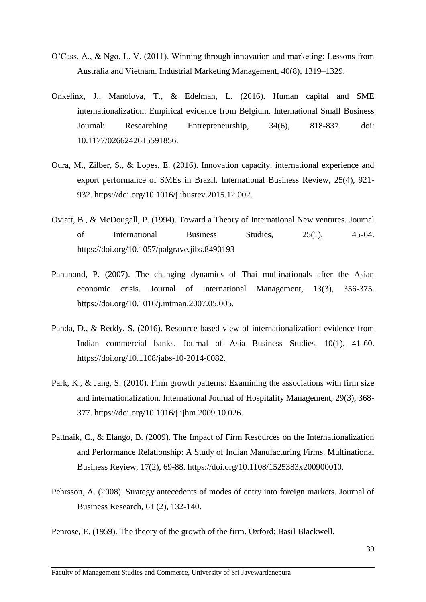- O'Cass, A., & Ngo, L. V. (2011). Winning through innovation and marketing: Lessons from Australia and Vietnam. Industrial Marketing Management, 40(8), 1319–1329.
- Onkelinx, J., Manolova, T., & Edelman, L. (2016). Human capital and SME internationalization: Empirical evidence from Belgium. International Small Business Journal: Researching Entrepreneurship, 34(6), 818-837. doi: 10.1177/0266242615591856.
- Oura, M., Zilber, S., & Lopes, E. (2016). Innovation capacity, international experience and export performance of SMEs in Brazil. International Business Review, 25(4), 921- 932. https://doi.org/10.1016/j.ibusrev.2015.12.002.
- Oviatt, B., & McDougall, P. (1994). Toward a Theory of International New ventures. Journal of International Business Studies, 25(1), 45-64. https://doi.org/10.1057/palgrave.jibs.8490193
- Pananond, P. (2007). The changing dynamics of Thai multinationals after the Asian economic crisis. Journal of International Management, 13(3), 356-375. https://doi.org/10.1016/j.intman.2007.05.005.
- Panda, D., & Reddy, S. (2016). Resource based view of internationalization: evidence from Indian commercial banks. Journal of Asia Business Studies, 10(1), 41-60. https://doi.org/10.1108/jabs-10-2014-0082.
- Park, K., & Jang, S. (2010). Firm growth patterns: Examining the associations with firm size and internationalization. International Journal of Hospitality Management, 29(3), 368- 377. [https://doi.org/10.1016/j.ijhm.2009.10.026.](https://doi.org/10.1016/j.ijhm.2009.10.026)
- Pattnaik, C., & Elango, B. (2009). The Impact of Firm Resources on the Internationalization and Performance Relationship: A Study of Indian Manufacturing Firms. Multinational Business Review, 17(2), 69-88. https://doi.org/10.1108/1525383x200900010.
- Pehrsson, A. (2008). Strategy antecedents of modes of entry into foreign markets. Journal of Business Research, 61 (2), 132-140.

Penrose, E. (1959). The theory of the growth of the firm. Oxford: Basil Blackwell.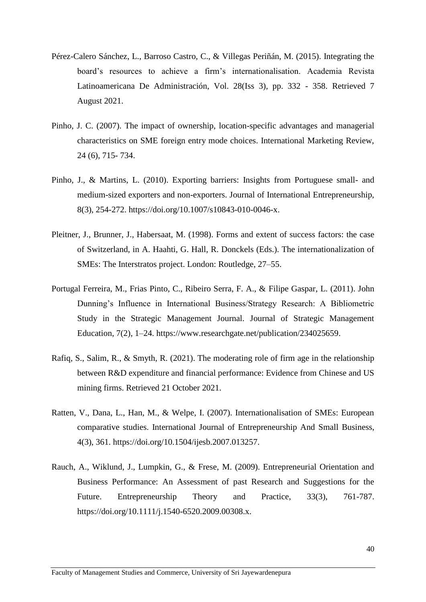- Pérez-Calero Sánchez, L., Barroso Castro, C., & Villegas Periñán, M. (2015). Integrating the board's resources to achieve a firm's internationalisation. Academia Revista Latinoamericana De Administración, Vol. 28(Iss 3), pp. 332 - 358. Retrieved 7 August 2021.
- Pinho, J. C. (2007). The impact of ownership, location-specific advantages and managerial characteristics on SME foreign entry mode choices. International Marketing Review, 24 (6), 715- 734.
- Pinho, J., & Martins, L. (2010). Exporting barriers: Insights from Portuguese small- and medium-sized exporters and non-exporters. Journal of International Entrepreneurship, 8(3), 254-272. https://doi.org/10.1007/s10843-010-0046-x.
- Pleitner, J., Brunner, J., Habersaat, M. (1998). Forms and extent of success factors: the case of Switzerland, in A. Haahti, G. Hall, R. Donckels (Eds.). The internationalization of SMEs: The Interstratos project. London: Routledge, 27–55.
- Portugal Ferreira, M., Frias Pinto, C., Ribeiro Serra, F. A., & Filipe Gaspar, L. (2011). John Dunning's Influence in International Business/Strategy Research: A Bibliometric Study in the Strategic Management Journal. Journal of Strategic Management Education, 7(2), 1–24. [https://www.researchgate.net/publication/234025659.](https://www.researchgate.net/publication/234025659)
- Rafiq, S., Salim, R., & Smyth, R. (2021). The moderating role of firm age in the relationship between R&D expenditure and financial performance: Evidence from Chinese and US mining firms. Retrieved 21 October 2021.
- Ratten, V., Dana, L., Han, M., & Welpe, I. (2007). Internationalisation of SMEs: European comparative studies. International Journal of Entrepreneurship And Small Business, 4(3), 361. https://doi.org/10.1504/ijesb.2007.013257.
- Rauch, A., Wiklund, J., Lumpkin, G., & Frese, M. (2009). Entrepreneurial Orientation and Business Performance: An Assessment of past Research and Suggestions for the Future. Entrepreneurship Theory and Practice, 33(3), 761-787. https://doi.org/10.1111/j.1540-6520.2009.00308.x.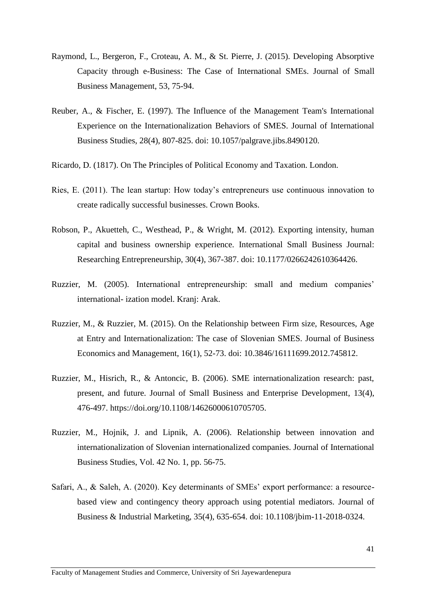- Raymond, L., Bergeron, F., Croteau, A. M., & St. Pierre, J. (2015). Developing Absorptive Capacity through e-Business: The Case of International SMEs. Journal of Small Business Management, 53, 75-94.
- Reuber, A., & Fischer, E. (1997). The Influence of the Management Team's International Experience on the Internationalization Behaviors of SMES. Journal of International Business Studies, 28(4), 807-825. doi: 10.1057/palgrave.jibs.8490120.
- Ricardo, D. (1817). On The Principles of Political Economy and Taxation. London.
- Ries, E. (2011). The lean startup: How today's entrepreneurs use continuous innovation to create radically successful businesses. Crown Books.
- Robson, P., Akuetteh, C., Westhead, P., & Wright, M. (2012). Exporting intensity, human capital and business ownership experience. International Small Business Journal: Researching Entrepreneurship, 30(4), 367-387. doi: 10.1177/0266242610364426.
- Ruzzier, M. (2005). International entrepreneurship: small and medium companies' international- ization model. Kranj: Arak.
- Ruzzier, M., & Ruzzier, M. (2015). On the Relationship between Firm size, Resources, Age at Entry and Internationalization: The case of Slovenian SMES. Journal of Business Economics and Management, 16(1), 52-73. doi: 10.3846/16111699.2012.745812.
- Ruzzier, M., Hisrich, R., & Antoncic, B. (2006). SME internationalization research: past, present, and future. Journal of Small Business and Enterprise Development, 13(4), 476-497. https://doi.org/10.1108/14626000610705705.
- Ruzzier, M., Hojnik, J. and Lipnik, A. (2006). Relationship between innovation and internationalization of Slovenian internationalized companies. Journal of International Business Studies, Vol. 42 No. 1, pp. 56-75.
- Safari, A., & Saleh, A. (2020). Key determinants of SMEs' export performance: a resourcebased view and contingency theory approach using potential mediators. Journal of Business & Industrial Marketing, 35(4), 635-654. doi: 10.1108/jbim-11-2018-0324.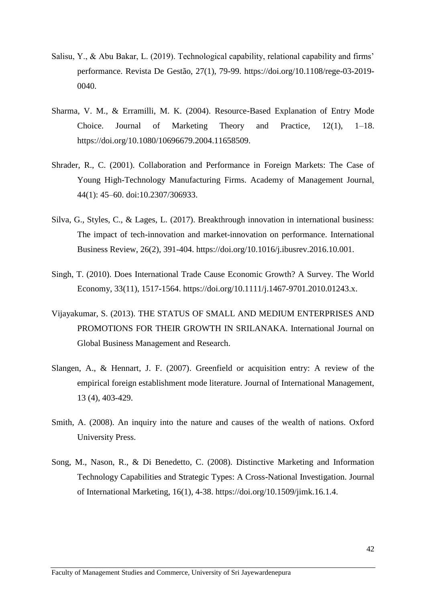- Salisu, Y., & Abu Bakar, L. (2019). Technological capability, relational capability and firms' performance. Revista De Gestão, 27(1), 79-99. [https://doi.org/10.1108/rege-03-2019-](https://doi.org/10.1108/rege-03-2019-0040) [0040.](https://doi.org/10.1108/rege-03-2019-0040)
- Sharma, V. M., & Erramilli, M. K. (2004). Resource-Based Explanation of Entry Mode Choice. Journal of Marketing Theory and Practice, 12(1), 1–18. https://doi.org/10.1080/10696679.2004.11658509.
- Shrader, R., C. (2001). Collaboration and Performance in Foreign Markets: The Case of Young High-Technology Manufacturing Firms. Academy of Management Journal, 44(1): 45–60. doi:10.2307/306933.
- Silva, G., Styles, C., & Lages, L. (2017). Breakthrough innovation in international business: The impact of tech-innovation and market-innovation on performance. International Business Review, 26(2), 391-404. https://doi.org/10.1016/j.ibusrev.2016.10.001.
- Singh, T. (2010). Does International Trade Cause Economic Growth? A Survey. The World Economy, 33(11), 1517-1564. https://doi.org/10.1111/j.1467-9701.2010.01243.x.
- Vijayakumar, S. (2013). THE STATUS OF SMALL AND MEDIUM ENTERPRISES AND PROMOTIONS FOR THEIR GROWTH IN SRILANAKA. International Journal on Global Business Management and Research.
- Slangen, A., & Hennart, J. F. (2007). Greenfield or acquisition entry: A review of the empirical foreign establishment mode literature. Journal of International Management, 13 (4), 403-429.
- Smith, A. (2008). An inquiry into the nature and causes of the wealth of nations. Oxford University Press.
- Song, M., Nason, R., & Di Benedetto, C. (2008). Distinctive Marketing and Information Technology Capabilities and Strategic Types: A Cross-National Investigation. Journal of International Marketing, 16(1), 4-38. https://doi.org/10.1509/jimk.16.1.4.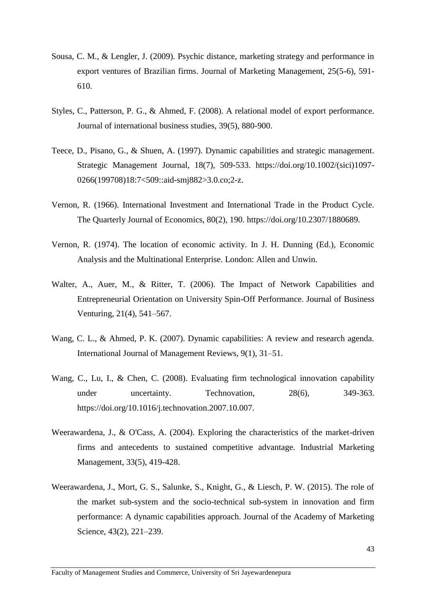- Sousa, C. M., & Lengler, J. (2009). Psychic distance, marketing strategy and performance in export ventures of Brazilian firms. Journal of Marketing Management, 25(5-6), 591- 610.
- Styles, C., Patterson, P. G., & Ahmed, F. (2008). A relational model of export performance. Journal of international business studies, 39(5), 880-900.
- Teece, D., Pisano, G., & Shuen, A. (1997). Dynamic capabilities and strategic management. Strategic Management Journal, 18(7), 509-533. https://doi.org/10.1002/(sici)1097- 0266(199708)18:7<509::aid-smj882>3.0.co;2-z.
- Vernon, R. (1966). International Investment and International Trade in the Product Cycle. The Quarterly Journal of Economics, 80(2), 190. https://doi.org/10.2307/1880689.
- Vernon, R. (1974). The location of economic activity. In J. H. Dunning (Ed.), Economic Analysis and the Multinational Enterprise. London: Allen and Unwin.
- Walter, A., Auer, M., & Ritter, T. (2006). The Impact of Network Capabilities and Entrepreneurial Orientation on University Spin-Off Performance. Journal of Business Venturing, 21(4), 541–567.
- Wang, C. L., & Ahmed, P. K. (2007). Dynamic capabilities: A review and research agenda. International Journal of Management Reviews, 9(1), 31–51.
- Wang, C., Lu, I., & Chen, C. (2008). Evaluating firm technological innovation capability under uncertainty. Technovation, 28(6), 349-363. https://doi.org/10.1016/j.technovation.2007.10.007.
- Weerawardena, J., & O'Cass, A. (2004). Exploring the characteristics of the market-driven firms and antecedents to sustained competitive advantage. Industrial Marketing Management, 33(5), 419-428.
- Weerawardena, J., Mort, G. S., Salunke, S., Knight, G., & Liesch, P. W. (2015). The role of the market sub-system and the socio-technical sub-system in innovation and firm performance: A dynamic capabilities approach. Journal of the Academy of Marketing Science, 43(2), 221–239.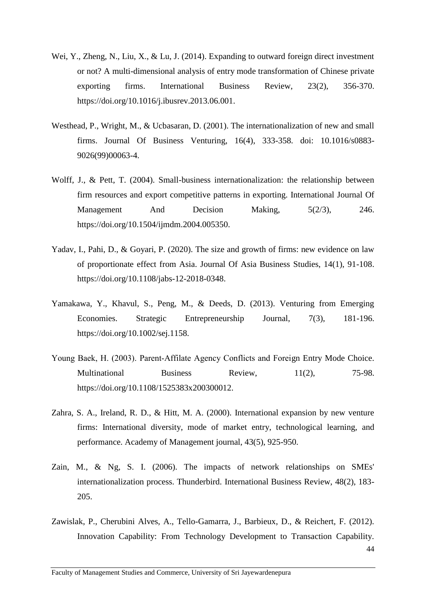- Wei, Y., Zheng, N., Liu, X., & Lu, J. (2014). Expanding to outward foreign direct investment or not? A multi-dimensional analysis of entry mode transformation of Chinese private exporting firms. International Business Review, 23(2), 356-370. https://doi.org/10.1016/j.ibusrev.2013.06.001.
- Westhead, P., Wright, M., & Ucbasaran, D. (2001). The internationalization of new and small firms. Journal Of Business Venturing, 16(4), 333-358. doi: 10.1016/s0883- 9026(99)00063-4.
- Wolff, J., & Pett, T. (2004). Small-business internationalization: the relationship between firm resources and export competitive patterns in exporting. International Journal Of Management And Decision Making, 5(2/3), 246. https://doi.org/10.1504/ijmdm.2004.005350.
- Yadav, I., Pahi, D., & Goyari, P. (2020). The size and growth of firms: new evidence on law of proportionate effect from Asia. Journal Of Asia Business Studies, 14(1), 91-108. https://doi.org/10.1108/jabs-12-2018-0348.
- Yamakawa, Y., Khavul, S., Peng, M., & Deeds, D. (2013). Venturing from Emerging Economies. Strategic Entrepreneurship Journal, 7(3), 181-196. https://doi.org/10.1002/sej.1158.
- Young Baek, H. (2003). Parent‐Affilate Agency Conflicts and Foreign Entry Mode Choice. Multinational Business Review, 11(2), 75-98. https://doi.org/10.1108/1525383x200300012.
- Zahra, S. A., Ireland, R. D., & Hitt, M. A. (2000). International expansion by new venture firms: International diversity, mode of market entry, technological learning, and performance. Academy of Management journal, 43(5), 925-950.
- Zain, M., & Ng, S. I. (2006). The impacts of network relationships on SMEs' internationalization process. Thunderbird. International Business Review, 48(2), 183- 205.
- Zawislak, P., Cherubini Alves, A., Tello-Gamarra, J., Barbieux, D., & Reichert, F. (2012). Innovation Capability: From Technology Development to Transaction Capability.

44